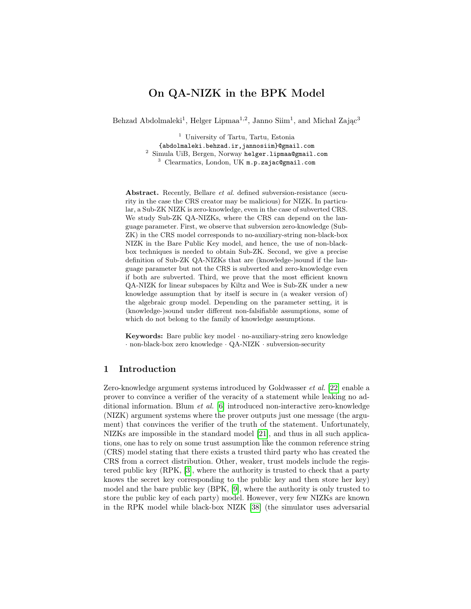# On QA-NIZK in the BPK Model

Behzad Abdolmaleki<sup>1</sup>, Helger Lipmaa<sup>1,2</sup>, Janno Siim<sup>1</sup>, and Michał Zając<sup>3</sup>

 University of Tartu, Tartu, Estonia {abdolmaleki.behzad.ir,jannosiim}@gmail.com Simula UiB, Bergen, Norway helger.lipmaa@gmail.com Clearmatics, London, UK m.p.zajac@gmail.com

Abstract. Recently, Bellare et al. defined subversion-resistance (security in the case the CRS creator may be malicious) for NIZK. In particular, a Sub-ZK NIZK is zero-knowledge, even in the case of subverted CRS. We study Sub-ZK QA-NIZKs, where the CRS can depend on the language parameter. First, we observe that subversion zero-knowledge (Sub-ZK) in the CRS model corresponds to no-auxiliary-string non-black-box NIZK in the Bare Public Key model, and hence, the use of non-blackbox techniques is needed to obtain Sub-ZK. Second, we give a precise definition of Sub-ZK QA-NIZKs that are (knowledge-)sound if the language parameter but not the CRS is subverted and zero-knowledge even if both are subverted. Third, we prove that the most efficient known QA-NIZK for linear subspaces by Kiltz and Wee is Sub-ZK under a new knowledge assumption that by itself is secure in (a weaker version of) the algebraic group model. Depending on the parameter setting, it is (knowledge-)sound under different non-falsifiable assumptions, some of which do not belong to the family of knowledge assumptions.

Keywords: Bare public key model · no-auxiliary-string zero knowledge · non-black-box zero knowledge · QA-NIZK · subversion-security

## 1 Introduction

Zero-knowledge argument systems introduced by Goldwasser et al. [\[22\]](#page-29-0) enable a prover to convince a verifier of the veracity of a statement while leaking no additional information. Blum et al. [\[6\]](#page-28-0) introduced non-interactive zero-knowledge (NIZK) argument systems where the prover outputs just one message (the argument) that convinces the verifier of the truth of the statement. Unfortunately, NIZKs are impossible in the standard model [\[21\]](#page-28-1), and thus in all such applications, one has to rely on some trust assumption like the common reference string (CRS) model stating that there exists a trusted third party who has created the CRS from a correct distribution. Other, weaker, trust models include the registered public key (RPK, [\[3\]](#page-28-2), where the authority is trusted to check that a party knows the secret key corresponding to the public key and then store her key) model and the bare public key (BPK, [\[9\]](#page-28-3), where the authority is only trusted to store the public key of each party) model. However, very few NIZKs are known in the RPK model while black-box NIZK [\[38\]](#page-29-1) (the simulator uses adversarial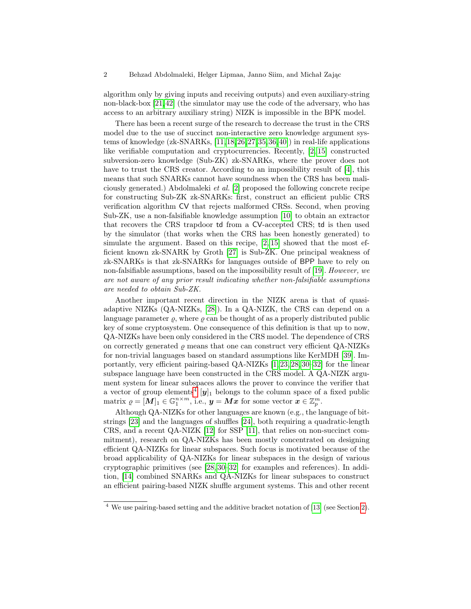algorithm only by giving inputs and receiving outputs) and even auxiliary-string non-black-box [\[21,](#page-28-1)[42\]](#page-29-2) (the simulator may use the code of the adversary, who has access to an arbitrary auxiliary string) NIZK is impossible in the BPK model.

There has been a recent surge of the research to decrease the trust in the CRS model due to the use of succinct non-interactive zero knowledge argument systems of knowledge (zk-SNARKs, [\[11,](#page-28-4)[18,](#page-28-5)[26,](#page-29-3)[27,](#page-29-4)[35,](#page-29-5)[36,](#page-29-6)[40\]](#page-29-7)) in real-life applications like verifiable computation and cryptocurrencies. Recently, [\[2,](#page-28-6) [15\]](#page-28-7) constructed subversion-zero knowledge (Sub-ZK) zk-SNARKs, where the prover does not have to trust the CRS creator. According to an impossibility result of [\[4\]](#page-28-8), this means that such SNARKs cannot have soundness when the CRS has been maliciously generated.) Abdolmaleki et al. [\[2\]](#page-28-6) proposed the following concrete recipe for constructing Sub-ZK zk-SNARKs: first, construct an efficient public CRS verification algorithm CV that rejects malformed CRSs. Second, when proving Sub-ZK, use a non-falsifiable knowledge assumption [\[10\]](#page-28-9) to obtain an extractor that recovers the CRS trapdoor td from a CV-accepted CRS; td is then used by the simulator (that works when the CRS has been honestly generated) to simulate the argument. Based on this recipe, [\[2,](#page-28-6) [15\]](#page-28-7) showed that the most efficient known zk-SNARK by Groth [\[27\]](#page-29-4) is Sub-ZK. One principal weakness of zk-SNARKs is that zk-SNARKs for languages outside of BPP have to rely on non-falsifiable assumptions, based on the impossibility result of [\[19\]](#page-28-10). However, we are not aware of any prior result indicating whether non-falsifiable assumptions are needed to obtain Sub-ZK.

Another important recent direction in the NIZK arena is that of quasiadaptive NIZKs (QA-NIZKs, [\[28\]](#page-29-8)). In a QA-NIZK, the CRS can depend on a language parameter  $\rho$ , where  $\rho$  can be thought of as a properly distributed public key of some cryptosystem. One consequence of this definition is that up to now, QA-NIZKs have been only considered in the CRS model. The dependence of CRS on correctly generated  $\rho$  means that one can construct very efficient QA-NIZKs for non-trivial languages based on standard assumptions like KerMDH [\[39\]](#page-29-9). Importantly, very efficient pairing-based QA-NIZKs [\[1,](#page-28-11) [23,](#page-29-10) [28,](#page-29-8) [30](#page-29-11)[–32\]](#page-29-12) for the linear subspace language have been constructed in the CRS model. A QA-NIZK argument system for linear subspaces allows the prover to convince the verifier that a vector of group elements<sup>[4](#page-1-0)</sup>  $[y]_1$  belongs to the column space of a fixed public matrix  $\rho = [M]_1 \in \mathbb{G}_1^{n \times m}$ , i.e.,  $y = Mx$  for some vector  $x \in \mathbb{Z}_p^m$ .

Although QA-NIZKs for other languages are known (e.g., the language of bitstrings [\[23\]](#page-29-10) and the languages of shuffles [\[24\]](#page-29-13), both requiring a quadratic-length CRS, and a recent QA-NIZK [\[12\]](#page-28-12) for SSP [\[11\]](#page-28-4), that relies on non-succinct commitment), research on QA-NIZKs has been mostly concentrated on designing efficient QA-NIZKs for linear subspaces. Such focus is motivated because of the broad applicability of QA-NIZKs for linear subspaces in the design of various cryptographic primitives (see [\[28,](#page-29-8) [30–](#page-29-11)[32\]](#page-29-12) for examples and references). In addition, [\[14\]](#page-28-13) combined SNARKs and QA-NIZKs for linear subspaces to construct an efficient pairing-based NIZK shuffle argument systems. This and other recent

<span id="page-1-0"></span><sup>4</sup> We use pairing-based setting and the additive bracket notation of [\[13\]](#page-28-14) (see Section [2\)](#page-7-0).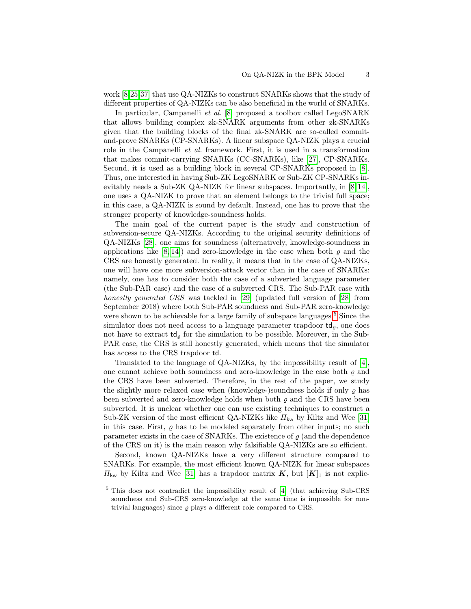work [\[8,](#page-28-15)[25,](#page-29-14)[37\]](#page-29-15) that use QA-NIZKs to construct SNARKs shows that the study of different properties of QA-NIZKs can be also beneficial in the world of SNARKs.

In particular, Campanelli et al. [\[8\]](#page-28-15) proposed a toolbox called LegoSNARK that allows building complex zk-SNARK arguments from other zk-SNARKs given that the building blocks of the final zk-SNARK are so-called commitand-prove SNARKs (CP-SNARKs). A linear subspace QA-NIZK plays a crucial role in the Campanelli et al. framework. First, it is used in a transformation that makes commit-carrying SNARKs (CC-SNARKs), like [\[27\]](#page-29-4), CP-SNARKs. Second, it is used as a building block in several CP-SNARKs proposed in [\[8\]](#page-28-15). Thus, one interested in having Sub-ZK LegoSNARK or Sub-ZK CP-SNARKs inevitably needs a Sub-ZK QA-NIZK for linear subspaces. Importantly, in [\[8,](#page-28-15) [14\]](#page-28-13), one uses a QA-NIZK to prove that an element belongs to the trivial full space; in this case, a QA-NIZK is sound by default. Instead, one has to prove that the stronger property of knowledge-soundness holds.

The main goal of the current paper is the study and construction of subversion-secure QA-NIZKs. According to the original security definitions of QA-NIZKs [\[28\]](#page-29-8), one aims for soundness (alternatively, knowledge-soundness in applications like [\[8,](#page-28-15) [14\]](#page-28-13)) and zero-knowledge in the case when both  $\rho$  and the CRS are honestly generated. In reality, it means that in the case of QA-NIZKs, one will have one more subversion-attack vector than in the case of SNARKs: namely, one has to consider both the case of a subverted language parameter (the Sub-PAR case) and the case of a subverted CRS. The Sub-PAR case with honestly generated CRS was tackled in [\[29\]](#page-29-16) (updated full version of [\[28\]](#page-29-8) from September 2018) where both Sub-PAR soundness and Sub-PAR zero-knowledge were shown to be achievable for a large family of subspace languages.<sup>[5](#page-2-0)</sup> Since the simulator does not need access to a language parameter trapdoor  $\mathsf{td}_{\rho}$ , one does not have to extract  $\mathsf{td}_\rho$  for the simulation to be possible. Moreover, in the Sub-PAR case, the CRS is still honestly generated, which means that the simulator has access to the CRS trapdoor td.

Translated to the language of QA-NIZKs, by the impossibility result of [\[4\]](#page-28-8), one cannot achieve both soundness and zero-knowledge in the case both  $\varrho$  and the CRS have been subverted. Therefore, in the rest of the paper, we study the slightly more relaxed case when (knowledge-)soundness holds if only  $\rho$  has been subverted and zero-knowledge holds when both  $\rho$  and the CRS have been subverted. It is unclear whether one can use existing techniques to construct a Sub-ZK version of the most efficient QA-NIZKs like  $\Pi_{kw}$  by Kiltz and Wee [\[31\]](#page-29-17) in this case. First,  $\varrho$  has to be modeled separately from other inputs; no such parameter exists in the case of SNARKs. The existence of  $\rho$  (and the dependence of the CRS on it) is the main reason why falsifiable QA-NIZKs are so efficient.

Second, known QA-NIZKs have a very different structure compared to SNARKs. For example, the most efficient known QA-NIZK for linear subspaces  $\Pi_{\mathsf{kw}}$  by Kiltz and Wee [\[31\]](#page-29-17) has a trapdoor matrix  $\mathbf{K}$ , but  $[\mathbf{K}]_1$  is not explic-

<span id="page-2-0"></span><sup>5</sup> This does not contradict the impossibility result of [\[4\]](#page-28-8) (that achieving Sub-CRS soundness and Sub-CRS zero-knowledge at the same time is impossible for nontrivial languages) since  $\rho$  plays a different role compared to CRS.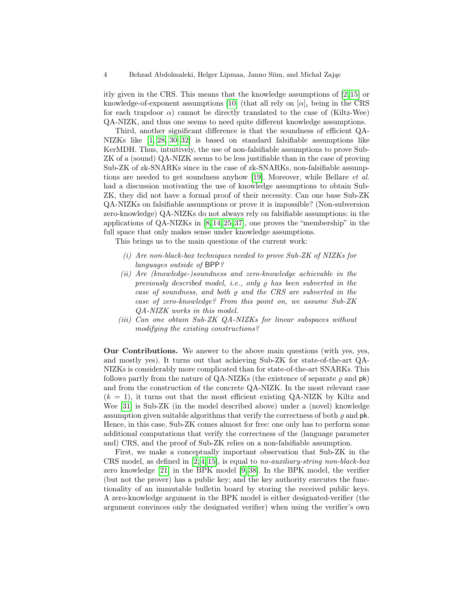itly given in the CRS. This means that the knowledge assumptions of [\[2,](#page-28-6) [15\]](#page-28-7) or knowledge-of-exponent assumptions [\[10\]](#page-28-9) (that all rely on  $[\alpha]_i$  being in the CRS for each trapdoor  $\alpha$ ) cannot be directly translated to the case of (Kiltz-Wee) QA-NIZK, and thus one seems to need quite different knowledge assumptions.

Third, another significant difference is that the soundness of efficient QA-NIZKs like [\[1,](#page-28-11) [28,](#page-29-8) [30](#page-29-11)[–32\]](#page-29-12) is based on standard falsifiable assumptions like KerMDH. Thus, intuitively, the use of non-falsifiable assumptions to prove Sub-ZK of a (sound) QA-NIZK seems to be less justifiable than in the case of proving Sub-ZK of zk-SNARKs since in the case of zk-SNARKs, non-falsifiable assumptions are needed to get soundness anyhow [\[19\]](#page-28-10). Moreover, while Bellare et al. had a discussion motivating the use of knowledge assumptions to obtain Sub-ZK, they did not have a formal proof of their necessity. Can one base Sub-ZK QA-NIZKs on falsifiable assumptions or prove it is impossible? (Non-subversion zero-knowledge) QA-NIZKs do not always rely on falsifiable assumptions: in the applications of QA-NIZKs in [\[8,](#page-28-15) [14,](#page-28-13) [25,](#page-29-14) [37\]](#page-29-15), one proves the "membership" in the full space that only makes sense under knowledge assumptions.

This brings us to the main questions of the current work:

- $(i)$  Are non-black-box techniques needed to prove Sub-ZK of NIZKs for languages outside of BPP?
- (ii) Are (knowledge-)soundness and zero-knowledge achievable in the previously described model, i.e., only  $\rho$  has been subverted in the case of soundness, and both  $\rho$  and the CRS are subverted in the case of zero-knowledge? From this point on, we assume Sub-ZK QA-NIZK works in this model.
- (iii) Can one obtain Sub-ZK QA-NIZKs for linear subspaces without modifying the existing constructions?

Our Contributions. We answer to the above main questions (with yes, yes, and mostly yes). It turns out that achieving Sub-ZK for state-of-the-art QA-NIZKs is considerably more complicated than for state-of-the-art SNARKs. This follows partly from the nature of QA-NIZKs (the existence of separate  $\rho$  and  $\mathsf{pk}$ ) and from the construction of the concrete QA-NIZK. In the most relevant case  $(k = 1)$ , it turns out that the most efficient existing QA-NIZK by Kiltz and Wee [\[31\]](#page-29-17) is Sub-ZK (in the model described above) under a (novel) knowledge assumption given suitable algorithms that verify the correctness of both  $\rho$  and pk. Hence, in this case, Sub-ZK comes almost for free: one only has to perform some additional computations that verify the correctness of the (language parameter and) CRS, and the proof of Sub-ZK relies on a non-falsifiable assumption.

First, we make a conceptually important observation that Sub-ZK in the CRS model, as defined in  $[2, 4, 15]$  $[2, 4, 15]$  $[2, 4, 15]$ , is equal to no-auxiliary-string non-black-box zero knowledge [\[21\]](#page-28-1) in the BPK model [\[9,](#page-28-3) [38\]](#page-29-1). In the BPK model, the verifier (but not the prover) has a public key; and the key authority executes the functionality of an immutable bulletin board by storing the received public keys. A zero-knowledge argument in the BPK model is either designated-verifier (the argument convinces only the designated verifier) when using the verifier's own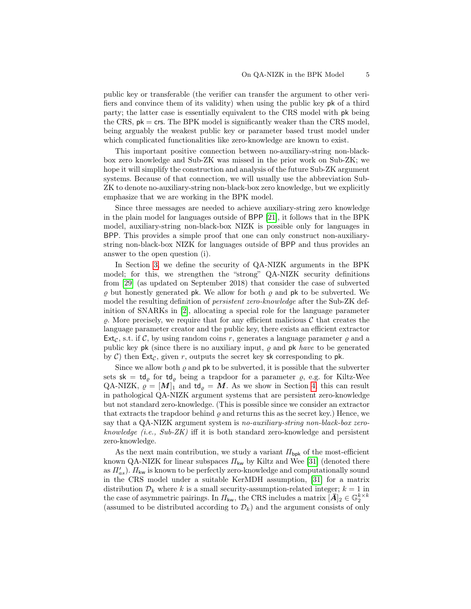public key or transferable (the verifier can transfer the argument to other verifiers and convince them of its validity) when using the public key pk of a third party; the latter case is essentially equivalent to the CRS model with pk being the CRS,  $pk = \text{crs}$ . The BPK model is significantly weaker than the CRS model, being arguably the weakest public key or parameter based trust model under which complicated functionalities like zero-knowledge are known to exist.

This important positive connection between no-auxiliary-string non-blackbox zero knowledge and Sub-ZK was missed in the prior work on Sub-ZK; we hope it will simplify the construction and analysis of the future Sub-ZK argument systems. Because of that connection, we will usually use the abbreviation Sub-ZK to denote no-auxiliary-string non-black-box zero knowledge, but we explicitly emphasize that we are working in the BPK model.

Since three messages are needed to achieve auxiliary-string zero knowledge in the plain model for languages outside of BPP [\[21\]](#page-28-1), it follows that in the BPK model, auxiliary-string non-black-box NIZK is possible only for languages in BPP. This provides a simple proof that one can only construct non-auxiliarystring non-black-box NIZK for languages outside of BPP and thus provides an answer to the open question (i).

In Section [3,](#page-9-0) we define the security of QA-NIZK arguments in the BPK model; for this, we strengthen the "strong" QA-NIZK security definitions from [\[29\]](#page-29-16) (as updated on September 2018) that consider the case of subverted  $\rho$  but honestly generated pk. We allow for both  $\rho$  and pk to be subverted. We model the resulting definition of persistent zero-knowledge after the Sub-ZK definition of SNARKs in [\[2\]](#page-28-6), allocating a special role for the language parameter  $\varrho$ . More precisely, we require that for any efficient malicious  $\mathcal C$  that creates the language parameter creator and the public key, there exists an efficient extractor  $Ext_{\mathcal{C}}$ , s.t. if C, by using random coins r, generates a language parameter  $\rho$  and a public key pk (since there is no auxiliary input,  $\rho$  and pk have to be generated by C) then  $Ext_C$ , given r, outputs the secret key sk corresponding to pk.

Since we allow both  $\varrho$  and pk to be subverted, it is possible that the subverter sets  $sk = td_{\varrho}$  for  $td_{\varrho}$  being a trapdoor for a parameter  $\varrho$ , e.g. for Kiltz-Wee QA-NIZK,  $\rho = [M]_1$  and  $\mathsf{td}_\rho = M$ . As we show in Section [4,](#page-15-0) this can result in pathological QA-NIZK argument systems that are persistent zero-knowledge but not standard zero-knowledge. (This is possible since we consider an extractor that extracts the trapdoor behind  $\rho$  and returns this as the secret key.) Hence, we say that a QA-NIZK argument system is no-auxiliary-string non-black-box zeroknowledge (i.e.,  $Sub-ZK$ ) iff it is both standard zero-knowledge and persistent zero-knowledge.

As the next main contribution, we study a variant  $\Pi_{\text{bpk}}$  of the most-efficient known QA-NIZK for linear subspaces  $\Pi_{kw}$  by Kiltz and Wee [\[31\]](#page-29-17) (denoted there as  $\Pi'_{as}$ ).  $\Pi_{\mathsf{kw}}$  is known to be perfectly zero-knowledge and computationally sound in the CRS model under a suitable KerMDH assumption, [\[31\]](#page-29-17) for a matrix distribution  $\mathcal{D}_k$  where k is a small security-assumption-related integer;  $k = 1$  in the case of asymmetric pairings. In  $\Pi_{\text{kw}}$ , the CRS includes a matrix  $[\bar{A}]_2 \in \mathbb{G}_2^{k \times k}$ (assumed to be distributed according to  $\mathcal{D}_k$ ) and the argument consists of only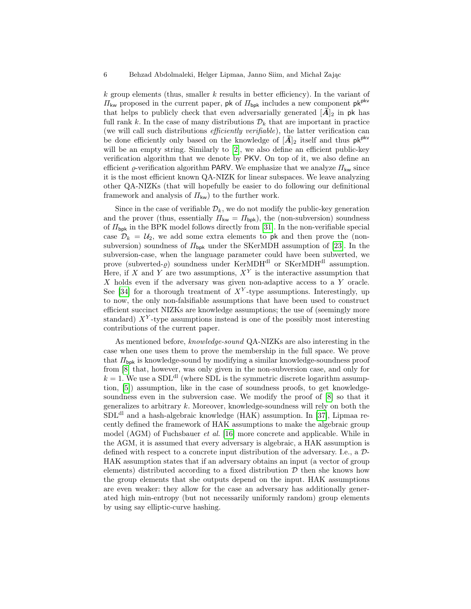$k$  group elements (thus, smaller  $k$  results in better efficiency). In the variant of  $\Pi_{kw}$  proposed in the current paper, pk of  $\Pi_{\text{bpk}}$  includes a new component pk<sup>pkv</sup> that helps to publicly check that even adversarially generated  $[\overline{A}]_2$  in pk has full rank k. In the case of many distributions  $\mathcal{D}_k$  that are important in practice (we will call such distributions efficiently verifiable), the latter verification can be done efficiently only based on the knowledge of  $[\bar{A}]_2$  itself and thus  $\mathsf{pk}^{\mathsf{pkv}}$ will be an empty string. Similarly to [\[2\]](#page-28-6), we also define an efficient public-key verification algorithm that we denote by PKV. On top of it, we also define an efficient  $\rho$ -verification algorithm PARV. We emphasize that we analyze  $\Pi_{kw}$  since it is the most efficient known QA-NIZK for linear subspaces. We leave analyzing other QA-NIZKs (that will hopefully be easier to do following our definitional framework and analysis of  $\Pi_{kw}$  to the further work.

Since in the case of verifiable  $\mathcal{D}_k$ , we do not modify the public-key generation and the prover (thus, essentially  $\Pi_{kw} = \Pi_{\text{bpk}}$ ), the (non-subversion) soundness of  $\Pi_{\text{bpk}}$  in the BPK model follows directly from [\[31\]](#page-29-17). In the non-verifiable special case  $\mathcal{D}_k = \mathcal{U}_2$ , we add some extra elements to pk and then prove the (nonsubversion) soundness of  $\Pi_{\text{bpk}}$  under the SKerMDH assumption of [\[23\]](#page-29-10). In the subversion-case, when the language parameter could have been subverted, we prove (subverted- $\varrho$ ) soundness under KerMDH $^{\text{dl}}$  or SKerMDH $^{\text{dl}}$  assumption. Here, if X and Y are two assumptions,  $X<sup>Y</sup>$  is the interactive assumption that X holds even if the adversary was given non-adaptive access to a Y oracle. See [\[34\]](#page-29-18) for a thorough treatment of  $X<sup>Y</sup>$ -type assumptions. Interestingly, up to now, the only non-falsifiable assumptions that have been used to construct efficient succinct NIZKs are knowledge assumptions; the use of (seemingly more standard)  $X<sup>Y</sup>$ -type assumptions instead is one of the possibly most interesting contributions of the current paper.

As mentioned before, knowledge-sound QA-NIZKs are also interesting in the case when one uses them to prove the membership in the full space. We prove that  $\Pi_{\mathsf{bpk}}$  is knowledge-sound by modifying a similar knowledge-soundness proof from [\[8\]](#page-28-15) that, however, was only given in the non-subversion case, and only for  $k = 1$ . We use a SDL<sup>dl</sup> (where SDL is the symmetric discrete logarithm assumption, [\[5\]](#page-28-16)) assumption, like in the case of soundness proofs, to get knowledgesoundness even in the subversion case. We modify the proof of [\[8\]](#page-28-15) so that it generalizes to arbitrary  $k$ . Moreover, knowledge-soundness will rely on both the  $SDL<sup>dl</sup>$  and a hash-algebraic knowledge (HAK) assumption. In [\[37\]](#page-29-15), Lipmaa recently defined the framework of HAK assumptions to make the algebraic group model (AGM) of Fuchsbauer et al. [\[16\]](#page-28-17) more concrete and applicable. While in the AGM, it is assumed that every adversary is algebraic, a HAK assumption is defined with respect to a concrete input distribution of the adversary. I.e., a D-HAK assumption states that if an adversary obtains an input (a vector of group elements) distributed according to a fixed distribution  $\mathcal D$  then she knows how the group elements that she outputs depend on the input. HAK assumptions are even weaker: they allow for the case an adversary has additionally generated high min-entropy (but not necessarily uniformly random) group elements by using say elliptic-curve hashing.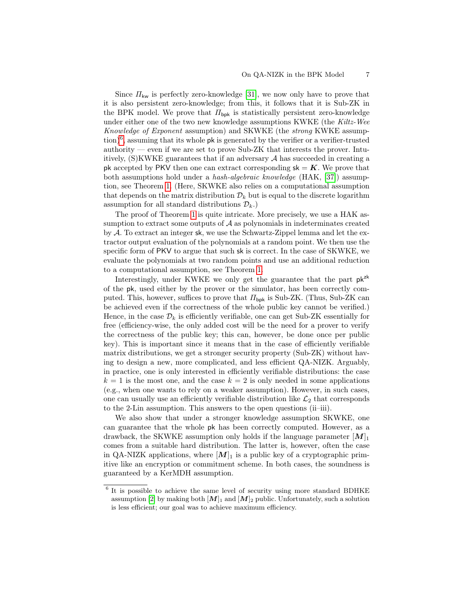Since  $\Pi_{kw}$  is perfectly zero-knowledge [\[31\]](#page-29-17), we now only have to prove that it is also persistent zero-knowledge; from this, it follows that it is Sub-ZK in the BPK model. We prove that  $\Pi_{\text{bpk}}$  is statistically persistent zero-knowledge under either one of the two new knowledge assumptions KWKE (the Kiltz-Wee Knowledge of Exponent assumption) and SKWKE (the strong KWKE assump- $\{\text{tion}\}^6$  $\{\text{tion}\}^6$ , assuming that its whole pk is generated by the verifier or a verifier-trusted authority — even if we are set to prove Sub-ZK that interests the prover. Intuitively,  $(S)$ KWKE guarantees that if an adversary  $A$  has succeeded in creating a pk accepted by PKV then one can extract corresponding  $sk = K$ . We prove that both assumptions hold under a hash-algebraic knowledge (HAK, [\[37\]](#page-29-15)) assumption, see Theorem [1.](#page-19-0) (Here, SKWKE also relies on a computational assumption that depends on the matrix distribution  $\mathcal{D}_k$  but is equal to the discrete logarithm assumption for all standard distributions  $\mathcal{D}_k$ .

The proof of Theorem [1](#page-19-0) is quite intricate. More precisely, we use a HAK assumption to extract some outputs of  $A$  as polynomials in indeterminates created by A. To extract an integer sk, we use the Schwartz-Zippel lemma and let the extractor output evaluation of the polynomials at a random point. We then use the specific form of PKV to argue that such sk is correct. In the case of SKWKE, we evaluate the polynomials at two random points and use an additional reduction to a computational assumption, see Theorem [1.](#page-19-0)

Interestingly, under KWKE we only get the guarantee that the part  $pk^{zk}$ of the pk, used either by the prover or the simulator, has been correctly computed. This, however, suffices to prove that  $\Pi_{\text{bpk}}$  is Sub-ZK. (Thus, Sub-ZK can be achieved even if the correctness of the whole public key cannot be verified.) Hence, in the case  $\mathcal{D}_k$  is efficiently verifiable, one can get Sub-ZK essentially for free (efficiency-wise, the only added cost will be the need for a prover to verify the correctness of the public key; this can, however, be done once per public key). This is important since it means that in the case of efficiently verifiable matrix distributions, we get a stronger security property (Sub-ZK) without having to design a new, more complicated, and less efficient QA-NIZK. Arguably, in practice, one is only interested in efficiently verifiable distributions: the case  $k = 1$  is the most one, and the case  $k = 2$  is only needed in some applications (e.g., when one wants to rely on a weaker assumption). However, in such cases, one can usually use an efficiently verifiable distribution like  $\mathcal{L}_2$  that corresponds to the 2-Lin assumption. This answers to the open questions (ii–iii).

We also show that under a stronger knowledge assumption SKWKE, one can guarantee that the whole pk has been correctly computed. However, as a drawback, the SKWKE assumption only holds if the language parameter  $[M]_1$ comes from a suitable hard distribution. The latter is, however, often the case in QA-NIZK applications, where  $[M]_1$  is a public key of a cryptographic primitive like an encryption or commitment scheme. In both cases, the soundness is guaranteed by a KerMDH assumption.

<span id="page-6-0"></span><sup>&</sup>lt;sup>6</sup> It is possible to achieve the same level of security using more standard BDHKE assumption [\[2\]](#page-28-6) by making both  $[M]_1$  and  $[M]_2$  public. Unfortunately, such a solution is less efficient; our goal was to achieve maximum efficiency.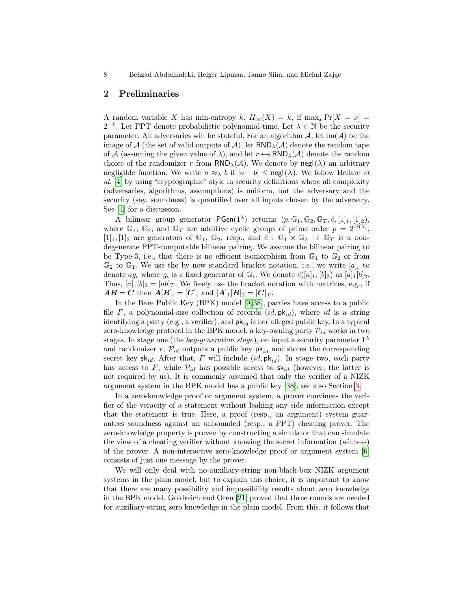8 Behzad Abdolmaleki, Helger Lipmaa, Janno Siim, and Michał Zając

### <span id="page-7-0"></span>2 Preliminaries

A random variable X has min-entropy k,  $H_{\infty}(X) = k$ , if  $\max_x \Pr[X = x] =$  $2^{-k}$ . Let PPT denote probabilistic polynomial-time. Let  $\lambda \in \mathbb{N}$  be the security parameter. All adversaries will be stateful. For an algorithm  $A$ , let  $\text{im}(\mathcal{A})$  be the image of A (the set of valid outputs of A), let  $RND<sub>\lambda</sub>(A)$  denote the random tape of A (assuming the given value of  $\lambda$ ), and let  $r \leftarrow s \text{RND}_{\lambda}(\mathcal{A})$  denote the random choice of the randomizer r from  $RND_{\lambda}(\mathcal{A})$ . We denote by negl( $\lambda$ ) an arbitrary negligible function. We write  $a \approx_{\lambda} b$  if  $|a - b| \leq$  negl $(\lambda)$ . We follow Bellare *et* al. [\[4\]](#page-28-8) by using "cryptographic" style in security definitions where all complexity (adversaries, algorithms, assumptions) is uniform, but the adversary and the security (say, soundness) is quantified over all inputs chosen by the adversary. See [\[4\]](#page-28-8) for a discussion.

A bilinear group generator  $\mathsf{PGen}(1^\lambda)$  returns  $(p, \mathbb{G}_1, \mathbb{G}_2, \mathbb{G}_T, \hat{e}, [1]_1, [1]_2),$ where  $\mathbb{G}_1$ ,  $\mathbb{G}_2$ , and  $\mathbb{G}_T$  are additive cyclic groups of prime order  $p = 2^{\Omega(\lambda)}$ ,  $[1]_1$ ,  $[1]_2$  are generators of  $\mathbb{G}_1$ ,  $\mathbb{G}_2$ , resp., and  $\hat{e}: \mathbb{G}_1 \times \mathbb{G}_2 \to \mathbb{G}_T$  is a nondegenerate PPT-computable bilinear pairing. We assume the bilinear pairing to be Type-3, i.e., that there is no efficient isomorphism from  $\mathbb{G}_1$  to  $\mathbb{G}_2$  or from  $\mathbb{G}_2$  to  $\mathbb{G}_1$ . We use the by now standard bracket notation, i.e., we write  $[a]_l$  to denote  $ag_{\iota}$  where  $g_{\iota}$  is a fixed generator of  $\mathbb{G}_{\iota}$ . We denote  $\hat{e}([a]_1,[b]_2)$  as  $[a]_1[b]_2$ . Thus,  $[a]_1[b]_2 = [ab]_T$ . We freely use the bracket notation with matrices, e.g., if  $AB = C$  then  $A[B]_l = [C]_l$  and  $[A]_1[B]_2 = [C]_T$ .

In the Bare Public Key (BPK) model [\[9,](#page-28-3) [38\]](#page-29-1), parties have access to a public file F, a polynomial-size collection of records  $(id, \mathsf{pk}_{id})$ , where id is a string identifying a party (e.g., a verifier), and  $\mathsf{pk}_{id}$  is her alleged public key. In a typical zero-knowledge protocol in the BPK model, a key-owning party  $\mathcal{P}_{id}$  works in two stages. In stage one (the *key-generation stage*), on input a security parameter  $1^{\lambda}$ and randomizer r,  $\mathcal{P}_{id}$  outputs a public key  $\mathsf{pk}_{id}$  and stores the corresponding secret key sk<sub>id</sub>. After that, F will include  $(id, \mathsf{pk}_{id})$ . In stage two, each party has access to F, while  $\mathcal{P}_{id}$  has possible access to  $sk_{id}$  (however, the latter is not required by us). It is commonly assumed that only the verifier of a NIZK argument system in the BPK model has a public key [\[38\]](#page-29-1); see also Section [3.](#page-9-0)

In a zero-knowledge proof or argument system, a prover convinces the verifier of the veracity of a statement without leaking any side information except that the statement is true. Here, a proof (resp., an argument) system guarantees soundness against an unbounded (resp., a PPT) cheating prover. The zero-knowledge property is proven by constructing a simulator that can simulate the view of a cheating verifier without knowing the secret information (witness) of the prover. A non-interactive zero-knowledge proof or argument system [\[6\]](#page-28-0) consists of just one message by the prover.

We will only deal with no-auxiliary-string non-black-box NIZK argument systems in the plain model, but to explain this choice, it is important to know that there are many possibility and impossibility results about zero knowledge in the BPK model. Goldreich and Oren [\[21\]](#page-28-1) proved that three rounds are needed for auxiliary-string zero knowledge in the plain model. From this, it follows that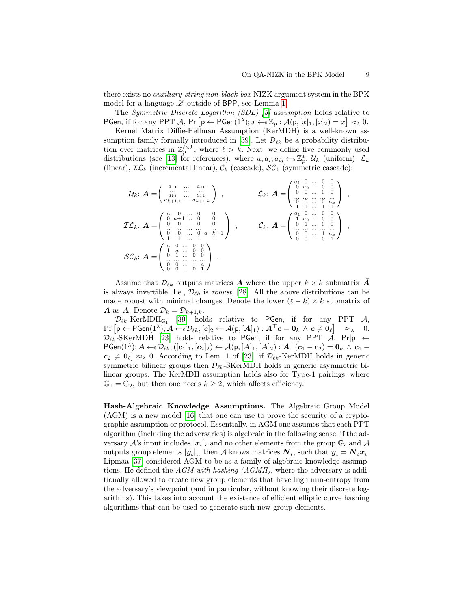there exists no auxiliary-string non-black-box NIZK argument system in the BPK model for a language  $\mathscr L$  outside of BPP, see Lemma [1.](#page-13-0)

The Symmetric Discrete Logarithm (SDL) [\[5\]](#page-28-16) assumption holds relative to PGen, if for any PPT  $\mathcal{A}$ , Pr  $\left[\mathsf{p} \leftarrow \mathsf{PGen}(1^{\lambda}); x \leftarrow \mathbb{Z}_p : \mathcal{A}(\mathsf{p}, [x]_1, [x]_2) = x\right] \approx_{\lambda} 0$ .

Kernel Matrix Diffie-Hellman Assumption (KerMDH) is a well-known as-sumption family formally introduced in [\[39\]](#page-29-9). Let  $\mathcal{D}_{\ell k}$  be a probability distribution over matrices in  $\mathbb{Z}_p^{\ell \times k}$ , where  $\ell > k$ . Next, we define five commonly used distributions (see [\[13\]](#page-28-14) for references), where  $a, a_i, a_{ij} \leftarrow \mathbb{Z}_p^*$ :  $\mathcal{U}_k$  (uniform),  $\mathcal{L}_k$ (linear),  $\mathcal{IL}_k$  (incremental linear),  $\mathcal{C}_k$  (cascade),  $\mathcal{SC}_k$  (symmetric cascade):

$$
\mathcal{U}_{k}: A = \begin{pmatrix} a_{11} & \dots & a_{1k} \\ \dots & \dots & \dots \\ a_{k1} & \dots & a_{kk} \\ a_{k+1,1} & \dots & a_{k+1,k} \end{pmatrix} , \qquad \qquad \mathcal{L}_{k}: A = \begin{pmatrix} a_{1} & 0 & \dots & 0 & 0 \\ 0 & a_{2} & \dots & 0 & 0 \\ 0 & 0 & \dots & 0 & 0 \\ \vdots & \vdots & \ddots & \vdots & \vdots \\ 0 & 0 & \dots & 0 & 0 \\ 0 & 0 & \dots & 0 & 0 \\ \vdots & \vdots & \ddots & \vdots & \vdots \\ 0 & 0 & \dots & 0 & a_{k+1} \end{pmatrix} ,
$$
\n
$$
\mathcal{L}_{k}: A = \begin{pmatrix} a_{1} & 0 & \dots & 0 & 0 \\ 0 & 0 & \dots & 0 & 0 \\ \vdots & \vdots & \ddots & \vdots & \vdots \\ 0 & 1 & \dots & 1 & a_{k+1} \\ 0 & 1 & \dots & 1 & 1 \\ 0 & 0 & \dots & 0 & 0 \\ \vdots & \vdots & \vdots & \ddots & \vdots \\ 0 & 0 & \dots & 0 & 1 \end{pmatrix} ,
$$
\n
$$
\mathcal{S}\mathcal{C}_{k}: A = \begin{pmatrix} a_{1} & 0 & \dots & 0 & 0 \\ 0 & 1 & \dots & 0 & 0 \\ \vdots & \vdots & \ddots & \vdots & \vdots \\ 0 & 0 & \dots & 0 & 1 \\ 0 & 0 & \dots & 0 & 1 \end{pmatrix} ,
$$

Assume that  $\mathcal{D}_{\ell k}$  outputs matrices **A** where the upper  $k \times k$  submatrix  $\bar{\mathbf{A}}$ is always invertible. I.e.,  $\mathcal{D}_{\ell k}$  is *robust*, [\[28\]](#page-29-8). All the above distributions can be made robust with minimal changes. Denote the lower  $(\ell - k) \times k$  submatrix of **A** as **A**. Denote  $\mathcal{D}_k = \mathcal{D}_{k+1,k}$ .

 $\mathcal{D}_{\ell k}$ -KerMDH<sub>G<sub>1</sub></sub> [\[39\]](#page-29-9) holds relative to PGen, if for any PPT A,  $\Pr\big[\mathsf{p}\leftarrow \mathsf{PGen}(1^{\lambda}); A \leftarrow \!\! \ast\mathcal{D}_{\ell k}; [c]_2 \leftarrow \mathcal{A}(\mathsf{p},[A]_1): A^\top c = \mathbf{0}_k \, \wedge \, c \neq \mathbf{0}_\ell \big] \quad \approx_{\lambda} \quad 0.$  $\mathcal{D}_{\ell k}$ -SKerMDH [\[23\]](#page-29-10) holds relative to PGen, if for any PPT  $\tilde{\mathcal{A}}$ , Pr[p  $\leftarrow$  $\mathsf{PGen}(1^{\lambda}); A \mathop{\leftrightarrow}\nolimits \mathcal{D}_{\ell k}; ([\mathbfit{c}_1]_1, [\mathbfit{c}_2]_2) \mathop{\leftrightarrow}\nolimits \mathcal{A}(\mathsf{p}, [A]_1, [A]_2) : A^\top(\mathbfit{c}_1 - \mathbfit{c}_2) = \mathbf{0}_k \, \wedge \, \mathbfit{c}_1$  $c_2 \neq 0_\ell \approx \infty$  0. According to Lem. 1 of [\[23\]](#page-29-10), if  $\mathcal{D}_{\ell k}$ -KerMDH holds in generic symmetric bilinear groups then  $\mathcal{D}_{\ell k}$ -SKerMDH holds in generic asymmetric bilinear groups. The KerMDH assumption holds also for Type-1 pairings, where  $\mathbb{G}_1 = \mathbb{G}_2$ , but then one needs  $k \geq 2$ , which affects efficiency.

Hash-Algebraic Knowledge Assumptions. The Algebraic Group Model (AGM) is a new model [\[16\]](#page-28-17) that one can use to prove the security of a cryptographic assumption or protocol. Essentially, in AGM one assumes that each PPT algorithm (including the adversaries) is algebraic in the following sense: if the adversary  $\mathcal{A}$ 's input includes  $[x_t]_t$  and no other elements from the group  $\mathbb{G}_t$  and  $\mathcal{A}$ outputs group elements  $[y_\iota]_\iota$ , then A knows matrices  $\mathbf{N}_\iota$ , such that  $y_\iota = \mathbf{N}_\iota x_\iota$ . Lipmaa [\[37\]](#page-29-15) considered AGM to be as a family of algebraic knowledge assumptions. He defined the AGM with hashing  $(AGMH)$ , where the adversary is additionally allowed to create new group elements that have high min-entropy from the adversary's viewpoint (and in particular, without knowing their discrete logarithms). This takes into account the existence of efficient elliptic curve hashing algorithms that can be used to generate such new group elements.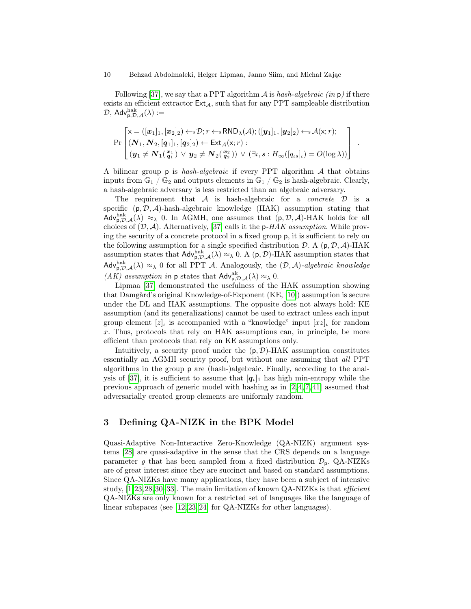Following [\[37\]](#page-29-15), we say that a PPT algorithm  $\mathcal A$  is hash-algebraic (in p) if there exists an efficient extractor  $Ext_{\mathcal{A}}$ , such that for any PPT sampleable distribution  $\mathcal{D}, \ \mathsf{Adv}_{\mathsf{p}, \mathcal{D}, \mathcal{A}}^{\text{hak}}(\lambda) :=$ 

$$
\Pr\begin{bmatrix} \mathsf{x} = ([x_1]_1, [x_2]_2) \leftarrow^{\mathsf{s}} \mathcal{D}; r \leftarrow^{\mathsf{s}} \mathsf{RND}_{\lambda}(\mathcal{A}); ([y_1]_1, [y_2]_2) \leftarrow^{\mathsf{s}} \mathcal{A}(\mathsf{x}; r); \\ (\mathbf{N}_1, \mathbf{N}_2, [q_1]_1, [q_2]_2) \leftarrow \mathsf{Ext}_{\mathcal{A}}(\mathsf{x}; r): \\ (y_1 \neq \mathbf{N}_1(\frac{x_1}{q_1}) \vee y_2 \neq \mathbf{N}_2(\frac{x_2}{q_2})) \vee (\exists \iota, s : H_{\infty}([q_{\iota s}]_{\iota}) = O(\log \lambda)) \end{bmatrix}.
$$

A bilinear group  $p$  is *hash-algebraic* if every PPT algorithm  $A$  that obtains inputs from  $\mathbb{G}_1$  /  $\mathbb{G}_2$  and outputs elements in  $\mathbb{G}_1$  /  $\mathbb{G}_2$  is hash-algebraic. Clearly, a hash-algebraic adversary is less restricted than an algebraic adversary.

The requirement that  $A$  is hash-algebraic for a *concrete*  $D$  is a specific  $(p, \mathcal{D}, \mathcal{A})$ -hash-algebraic knowledge (HAK) assumption stating that  $\mathsf{Adv}_{\mathsf{p},\mathcal{D},\mathcal{A}}^{\text{hak}}(\lambda) \approx_{\lambda} 0$ . In AGMH, one assumes that  $(\mathsf{p},\mathcal{D},\mathcal{A})$ -HAK holds for all choices of  $(D, \mathcal{A})$ . Alternatively, [\[37\]](#page-29-15) calls it the p-HAK assumption. While proving the security of a concrete protocol in a fixed group p, it is sufficient to rely on the following assumption for a single specified distribution  $D$ . A ( $p$ ,  $D$ ,  $A$ )-HAK assumption states that  $\text{Adv}_{p,\mathcal{D},\mathcal{A}}^{\text{hak}}(\lambda) \approx_{\lambda} 0$ . A (p, D)-HAK assumption states that Adv<sub>p,D,A</sub>( $\lambda$ )  $\approx_{\lambda}$  0 for all PPT A. Analogously, the  $(D, \mathcal{A})$ -algebraic knowledge  $(AK)$  assumption in **p** states that  $\mathsf{Adv}_{\mathsf{p},\mathcal{D},\mathcal{A}}^{\text{ak}}(\lambda) \approx_{\lambda} 0$ .

Lipmaa [\[37\]](#page-29-15) demonstrated the usefulness of the HAK assumption showing that Damgård's original Knowledge-of-Exponent (KE, [\[10\]](#page-28-9)) assumption is secure under the DL and HAK assumptions. The opposite does not always hold: KE assumption (and its generalizations) cannot be used to extract unless each input group element  $[z]_i$  is accompanied with a "knowledge" input  $[xz]_i$  for random  $x$ . Thus, protocols that rely on HAK assumptions can, in principle, be more efficient than protocols that rely on KE assumptions only.

Intuitively, a security proof under the  $(p, D)$ -HAK assumption constitutes essentially an AGMH security proof, but without one assuming that all PPT algorithms in the group p are (hash-)algebraic. Finally, according to the anal-ysis of [\[37\]](#page-29-15), it is sufficient to assume that  $[q_\iota]_1$  has high min-entropy while the previous approach of generic model with hashing as in [\[2,](#page-28-6) [4,](#page-28-8) [7,](#page-28-18) [41\]](#page-29-19) assumed that adversarially created group elements are uniformly random.

## <span id="page-9-0"></span>3 Defining QA-NIZK in the BPK Model

Quasi-Adaptive Non-Interactive Zero-Knowledge (QA-NIZK) argument systems [\[28\]](#page-29-8) are quasi-adaptive in the sense that the CRS depends on a language parameter  $\rho$  that has been sampled from a fixed distribution  $\mathcal{D}_{p}$ . QA-NIZKs are of great interest since they are succinct and based on standard assumptions. Since QA-NIZKs have many applications, they have been a subject of intensive study,  $[1,23,28,30-33]$  $[1,23,28,30-33]$  $[1,23,28,30-33]$  $[1,23,28,30-33]$  $[1,23,28,30-33]$ . The main limitation of known QA-NIZKs is that *efficient* QA-NIZKs are only known for a restricted set of languages like the language of linear subspaces (see [\[12,](#page-28-12) [23,](#page-29-10) [24\]](#page-29-13) for QA-NIZKs for other languages).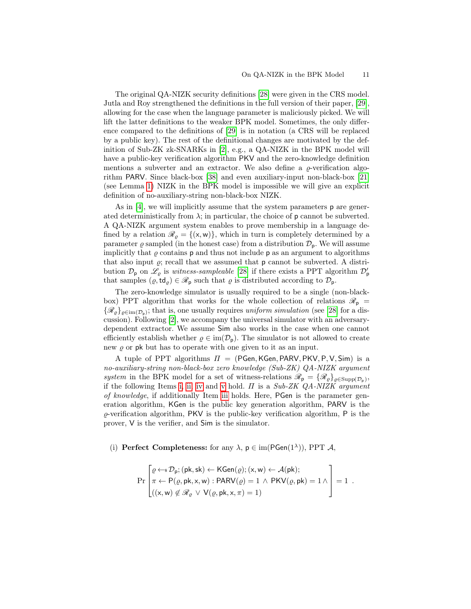The original QA-NIZK security definitions [\[28\]](#page-29-8) were given in the CRS model. Jutla and Roy strengthened the definitions in the full version of their paper, [\[29\]](#page-29-16), allowing for the case when the language parameter is maliciously picked. We will lift the latter definitions to the weaker BPK model. Sometimes, the only difference compared to the definitions of [\[29\]](#page-29-16) is in notation (a CRS will be replaced by a public key). The rest of the definitional changes are motivated by the definition of Sub-ZK zk-SNARKs in [\[2\]](#page-28-6), e.g., a QA-NIZK in the BPK model will have a public-key verification algorithm PKV and the zero-knowledge definition mentions a subverter and an extractor. We also define a  $\rho$ -verification algorithm PARV. Since black-box [\[38\]](#page-29-1) and even auxiliary-input non-black-box [\[21\]](#page-28-1) (see Lemma [1\)](#page-13-0) NIZK in the BPK model is impossible we will give an explicit definition of no-auxiliary-string non-black-box NIZK.

As in [\[4\]](#page-28-8), we will implicitly assume that the system parameters p are generated deterministically from  $\lambda$ ; in particular, the choice of p cannot be subverted. A QA-NIZK argument system enables to prove membership in a language defined by a relation  $\mathcal{R}_{\rho} = \{(\mathsf{x}, \mathsf{w})\}\$ , which in turn is completely determined by a parameter  $\varrho$  sampled (in the honest case) from a distribution  $\mathcal{D}_{p}$ . We will assume implicitly that  $\varrho$  contains **p** and thus not include **p** as an argument to algorithms that also input  $\varrho$ ; recall that we assumed that  $p$  cannot be subverted. A distribution  $\mathcal{D}_{\mathsf{p}}$  on  $\mathscr{L}_{\varrho}$  is *witness-sampleable* [\[28\]](#page-29-8) if there exists a PPT algorithm  $\mathcal{D}'_{\mathsf{p}}$ that samples  $(\varrho, \mathsf{td}_\varrho) \in \mathscr{R}_{\mathsf{p}}$  such that  $\varrho$  is distributed according to  $\mathcal{D}_{\mathsf{p}}$ .

The zero-knowledge simulator is usually required to be a single (non-blackbox) PPT algorithm that works for the whole collection of relations  $\mathscr{R}_{p}$  $\{\mathscr{R}_{\varrho}\}_{\varrho\in\text{im}(\mathcal{D}_{\rho})}$ ; that is, one usually requires uniform simulation (see [\[28\]](#page-29-8) for a discussion). Following [\[2\]](#page-28-6), we accompany the universal simulator with an adversarydependent extractor. We assume Sim also works in the case when one cannot efficiently establish whether  $\varrho \in \text{im}(\mathcal{D}_{p})$ . The simulator is not allowed to create new  $\rho$  or pk but has to operate with one given to it as an input.

A tuple of PPT algorithms  $\Pi = (PGen, KGen, PARV, PKV, P, V, Sim)$  is a no-auxiliary-string non-black-box zero knowledge (Sub-ZK) QA-NIZK argument system in the BPK model for a set of witness-relations  $\mathscr{R}_{\mathsf{p}} = {\mathscr{R}_{\varrho}}_{\varrho \in \text{Supp}(\mathcal{D}_{\mathsf{p}})},$ if the following Items [i,](#page-10-0) [ii,](#page-10-1) [iv](#page-11-0) and [v](#page-11-1) hold.  $\Pi$  is a Sub-ZK QA-NIZK argument of knowledge, if additionally Item [iii](#page-11-2) holds. Here, PGen is the parameter generation algorithm, KGen is the public key generation algorithm, PARV is the  $\rho$ -verification algorithm, PKV is the public-key verification algorithm, P is the prover, V is the verifier, and Sim is the simulator.

## <span id="page-10-0"></span>(i) Perfect Completeness: for any  $\lambda$ ,  $p \in im(PGen(1^{\lambda}))$ , PPT A,

<span id="page-10-1"></span>Pr % ←\$ Dp; (pk,sk) ← KGen(%); (x,w) ← A(pk); π ← P(%, pk, x,w) : PARV(%) = 1 ∧ PKV(%, pk) = 1 ∧ ((x,w) 6∈ R% ∨ V(%, pk, x, π) = 1) = 1 .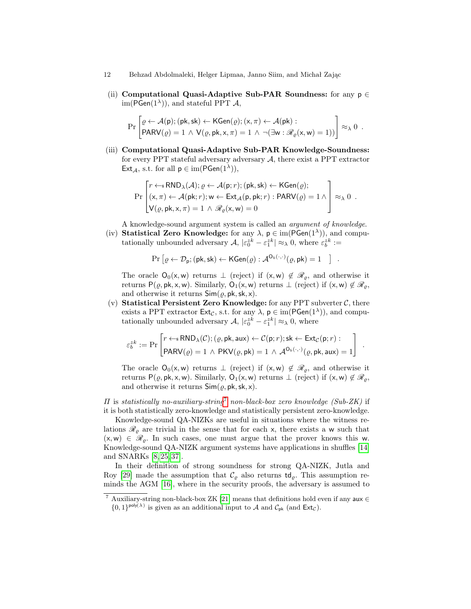- 12 Behzad Abdolmaleki, Helger Lipmaa, Janno Siim, and Michał Zając
- (ii) Computational Quasi-Adaptive Sub-PAR Soundness: for any  $p \in$  $\text{im}(\textsf{PGen}(1^{\lambda})),$  and stateful PPT  $\mathcal{A},$

$$
\Pr\left[\varrho\leftarrow \mathcal{A}(\mathsf{p}); (\mathsf{pk},\mathsf{sk}) \leftarrow \mathsf{KGen}(\varrho); (\mathsf{x},\pi) \leftarrow \mathcal{A}(\mathsf{pk}):\\ \left[\mathsf{PARV}(\varrho) = 1 \, \wedge \, \mathsf{V}(\varrho,\mathsf{pk},\mathsf{x},\pi) = 1 \, \wedge \, \neg(\exists \mathsf{w}: \mathscr{R}_{\varrho}(\mathsf{x},\mathsf{w}) = 1))\right] \approx_{\lambda} 0 \enspace .
$$

<span id="page-11-2"></span>(iii) Computational Quasi-Adaptive Sub-PAR Knowledge-Soundness: for every PPT stateful adversary adversary  $A$ , there exist a PPT extractor Ext<sub>A</sub>, s.t. for all  $p \in im(PGen(1^{\lambda})),$ 

$$
\Pr\begin{bmatrix} r \leftarrow_{\mathbb{R}} \mathsf{RND}_{\lambda}(\mathcal{A}); \varrho \leftarrow \mathcal{A}(\mathsf{p}; r); (\mathsf{pk}, \mathsf{sk}) \leftarrow \mathsf{KGen}(\varrho); \\ (\mathsf{x}, \pi) \leftarrow \mathcal{A}(\mathsf{pk}; r); \mathsf{w} \leftarrow \mathsf{Ext}_{\mathcal{A}}(\mathsf{p}, \mathsf{pk}; r): \mathsf{PARV}(\varrho) = 1 \wedge \\ \mathsf{V}(\varrho, \mathsf{pk}, \mathsf{x}, \pi) = 1 \wedge \mathscr{R}_{\varrho}(\mathsf{x}, \mathsf{w}) = 0 \end{bmatrix} \approx_{\lambda} 0 \; .
$$

A knowledge-sound argument system is called an argument of knowledge.

<span id="page-11-0"></span>(iv) Statistical Zero Knowledge: for any  $\lambda$ ,  $p \in im(PGen(1^{\lambda}))$ , and computationally unbounded adversary  $\mathcal{A}, |\varepsilon_0^{zk} - \varepsilon_1^{zk}| \approx_\lambda 0$ , where  $\varepsilon_b^{zk} :=$ 

$$
\Pr\left[\varrho \leftarrow \mathcal{D}_{\sf p}; (\mathsf{pk},\mathsf{sk}) \leftarrow {\sf KGen}(\varrho): \mathcal{A}^{{\sf O}_{b}(\cdot,\cdot)}(\varrho,\mathsf{pk})=1\quad \right]
$$

.

.

The oracle  $O_0(x, w)$  returns  $\perp$  (reject) if  $(x, w) \notin \mathcal{R}_\varrho$ , and otherwise it returns P( $\varrho$ , pk, x, w). Similarly, O<sub>1</sub>(x, w) returns  $\perp$  (reject) if (x, w)  $\notin \mathcal{R}_o$ , and otherwise it returns  $\textsf{Sim}(\rho, \textsf{pk}, \textsf{sk}, \textsf{x})$ .

<span id="page-11-1"></span>(v) Statistical Persistent Zero Knowledge: for any PPT subverter  $\mathcal{C}$ , there exists a PPT extractor  $\mathsf{Ext}_{\mathcal{C}}$ , s.t. for any  $\lambda$ ,  $p \in \text{im}(\mathsf{PGen}(1^{\lambda}))$ , and computationally unbounded adversary  $\mathcal{A}, |\varepsilon_0^{zk} - \varepsilon_1^{zk}| \approx_\lambda 0$ , where

$$
\varepsilon^{zk}_b := \Pr\left[ \begin{matrix} r \leftarrow_{\mathbb{S}} \mathsf{RND}_{\lambda}(\mathcal{C}) ; (\varrho,\mathsf{pk},\mathsf{aux}) \leftarrow \mathcal{C}(\mathsf{p};r); \mathsf{sk} \leftarrow \mathsf{Ext}_{\mathcal{C}}(\mathsf{p};r): \\ \mathsf{PARV}(\varrho)=1 \, \wedge \, \mathsf{PKV}(\varrho,\mathsf{pk})=1 \, \wedge \, \mathcal{A}^{\mathsf{O}_b(\cdot,\cdot)}(\varrho,\mathsf{pk},\mathsf{aux})=1 \end{matrix} \right]
$$

The oracle  $O_0(x, w)$  returns  $\perp$  (reject) if  $(x, w) \notin \mathcal{R}_\rho$ , and otherwise it returns  $P(\varrho, \mathsf{pk}, x, \mathsf{w})$ . Similarly,  $O_1(x, \mathsf{w})$  returns  $\perp$  (reject) if  $(x, \mathsf{w}) \notin \mathcal{R}_{\varrho}$ , and otherwise it returns  $\mathsf{Sim}(\rho, \mathsf{pk}, \mathsf{sk}, \mathsf{x})$ .

 $\Pi$  is statistically no-auxiliary-string<sup>[7](#page-11-3)</sup> non-black-box zero knowledge (Sub-ZK) if it is both statistically zero-knowledge and statistically persistent zero-knowledge.

Knowledge-sound QA-NIZKs are useful in situations where the witness relations  $\mathcal{R}_{\rho}$  are trivial in the sense that for each x, there exists a w such that  $(x, w) \in \mathcal{R}_{\varrho}$ . In such cases, one must argue that the prover knows this w. Knowledge-sound QA-NIZK argument systems have applications in shuffles [\[14\]](#page-28-13) and SNARKs [\[8,](#page-28-15) [25,](#page-29-14) [37\]](#page-29-15).

In their definition of strong soundness for strong QA-NIZK, Jutla and Roy [\[29\]](#page-29-16) made the assumption that  $\mathcal{C}_{\varrho}$  also returns  $\mathsf{td}_{\varrho}$ . This assumption reminds the AGM [\[16\]](#page-28-17), where in the security proofs, the adversary is assumed to

<span id="page-11-3"></span><sup>7</sup> Auxiliary-string non-black-box ZK [\[21\]](#page-28-1) means that definitions hold even if any aux ∈  $\{0,1\}^{\text{poly}(\lambda)}$  is given as an additional input to A and  $\mathcal{C}_{\text{pk}}$  (and  $\text{Ext}_{\mathcal{C}}$ ).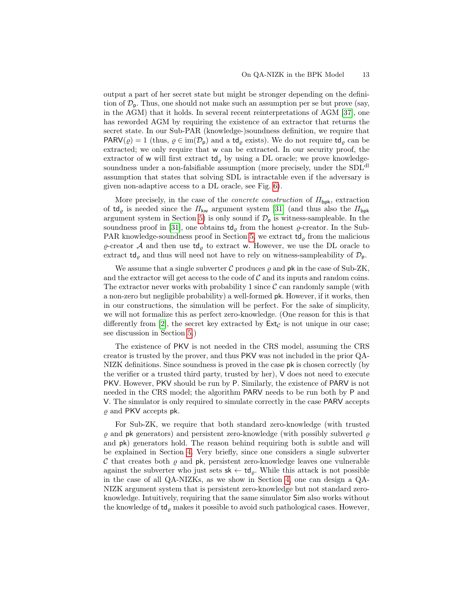output a part of her secret state but might be stronger depending on the definition of  $\mathcal{D}_{p}$ . Thus, one should not make such an assumption per se but prove (say, in the AGM) that it holds. In several recent reinterpretations of AGM [\[37\]](#page-29-15), one has reworded AGM by requiring the existence of an extractor that returns the secret state. In our Sub-PAR (knowledge-)soundness definition, we require that  $PARY(\varrho) = 1$  (thus,  $\varrho \in \text{im}(\mathcal{D}_p)$  and a td<sub> $\varrho$ </sub> exists). We do not require td<sub> $\varrho$ </sub> can be extracted; we only require that w can be extracted. In our security proof, the extractor of w will first extract  $\mathsf{td}_\rho$  by using a DL oracle; we prove knowledgesoundness under a non-falsifiable assumption (more precisely, under the SDL<sup>dl</sup> assumption that states that solving SDL is intractable even if the adversary is given non-adaptive access to a DL oracle, see Fig. [6\)](#page-24-0).

More precisely, in the case of the *concrete construction* of  $\Pi_{\text{bpk}}$ , extraction of  $\mathsf{td}_\varrho$  is needed since the  $\Pi_{\mathsf{kw}}$  argument system [\[31\]](#page-29-17) (and thus also the  $\Pi_{\mathsf{bpk}}$ argument system in Section [5\)](#page-16-0) is only sound if  $\mathcal{D}_p$  is witness-sampleable. In the soundness proof in [\[31\]](#page-29-17), one obtains  $\mathsf{td}_\rho$  from the honest  $\varrho$ -creator. In the Sub-PAR knowledge-soundness proof in Section [5,](#page-16-0) we extract  $\mathsf{td}_{\rho}$  from the malicious  $\varrho$ -creator A and then use  $\mathsf{td}_{\rho}$  to extract w. However, we use the DL oracle to extract  $\mathsf{td}_\rho$  and thus will need not have to rely on witness-sampleability of  $\mathcal{D}_p$ .

We assume that a single subverter  $\mathcal C$  produces  $\rho$  and pk in the case of Sub-ZK, and the extractor will get access to the code of  $\mathcal C$  and its inputs and random coins. The extractor never works with probability 1 since  $\mathcal C$  can randomly sample (with a non-zero but negligible probability) a well-formed pk. However, if it works, then in our constructions, the simulation will be perfect. For the sake of simplicity, we will not formalize this as perfect zero-knowledge. (One reason for this is that differently from [\[2\]](#page-28-6), the secret key extracted by  $\text{Ext}_{\mathcal{C}}$  is not unique in our case; see discussion in Section [5.](#page-16-0))

The existence of PKV is not needed in the CRS model, assuming the CRS creator is trusted by the prover, and thus PKV was not included in the prior QA-NIZK definitions. Since soundness is proved in the case pk is chosen correctly (by the verifier or a trusted third party, trusted by her), V does not need to execute PKV. However, PKV should be run by P. Similarly, the existence of PARV is not needed in the CRS model; the algorithm PARV needs to be run both by P and V. The simulator is only required to simulate correctly in the case PARV accepts  $\rho$  and PKV accepts pk.

For Sub-ZK, we require that both standard zero-knowledge (with trusted  $\rho$  and pk generators) and persistent zero-knowledge (with possibly subverted  $\rho$ and pk) generators hold. The reason behind requiring both is subtle and will be explained in Section [4.](#page-15-0) Very briefly, since one considers a single subverter C that creates both  $\rho$  and pk, persistent zero-knowledge leaves one vulnerable against the subverter who just sets  $sk \leftarrow td_{\rho}$ . While this attack is not possible in the case of all QA-NIZKs, as we show in Section [4,](#page-15-0) one can design a QA-NIZK argument system that is persistent zero-knowledge but not standard zeroknowledge. Intuitively, requiring that the same simulator Sim also works without the knowledge of  $td_\rho$  makes it possible to avoid such pathological cases. However,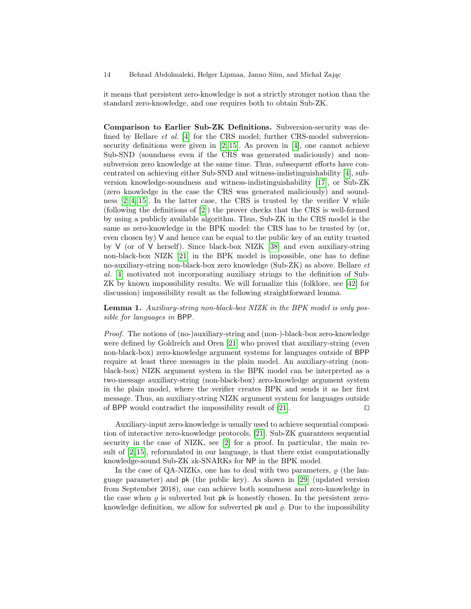14 Behzad Abdolmaleki, Helger Lipmaa, Janno Siim, and Michał Zając

it means that persistent zero-knowledge is not a strictly stronger notion than the standard zero-knowledge, and one requires both to obtain Sub-ZK.

Comparison to Earlier Sub-ZK Definitions. Subversion-security was defined by Bellare et al. [\[4\]](#page-28-8) for the CRS model; further CRS-model subversionsecurity definitions were given in [\[2,](#page-28-6) [15\]](#page-28-7). As proven in [\[4\]](#page-28-8), one cannot achieve Sub-SND (soundness even if the CRS was generated maliciously) and nonsubversion zero knowledge at the same time. Thus, subsequent efforts have concentrated on achieving either Sub-SND and witness-indistinguishability [\[4\]](#page-28-8), subversion knowledge-soundness and witness-indistinguishability [\[17\]](#page-28-19), or Sub-ZK (zero knowledge in the case the CRS was generated maliciously) and soundness  $[2, 4, 15]$  $[2, 4, 15]$  $[2, 4, 15]$ . In the latter case, the CRS is trusted by the verifier V while (following the definitions of [\[2\]](#page-28-6)) the prover checks that the CRS is well-formed by using a publicly available algorithm. Thus, Sub-ZK in the CRS model is the same as zero-knowledge in the BPK model: the CRS has to be trusted by (or, even chosen by) V and hence can be equal to the public key of an entity trusted by V (or of V herself). Since black-box NIZK [\[38\]](#page-29-1) and even auxiliary-string non-black-box NIZK [\[21\]](#page-28-1) in the BPK model is impossible, one has to define no-auxiliary-string non-black-box zero knowledge (Sub-ZK) as above. Bellare et al. [\[4\]](#page-28-8) motivated not incorporating auxiliary strings to the definition of Sub-ZK by known impossibility results. We will formalize this (folklore, see [\[42\]](#page-29-2) for discussion) impossibility result as the following straightforward lemma.

<span id="page-13-0"></span>Lemma 1. Auxiliary-string non-black-box NIZK in the BPK model is only possible for languages in BPP.

Proof. The notions of (no-)auxiliary-string and (non-)-black-box zero-knowledge were defined by Goldreich and Oren [\[21\]](#page-28-1) who proved that auxiliary-string (even non-black-box) zero-knowledge argument systems for languages outside of BPP require at least three messages in the plain model. An auxiliary-string (nonblack-box) NIZK argument system in the BPK model can be interpreted as a two-message auxiliary-string (non-black-box) zero-knowledge argument system in the plain model, where the verifier creates BPK and sends it as her first message. Thus, an auxiliary-string NIZK argument system for languages outside of BPP would contradict the impossibility result of [\[21\]](#page-28-1).  $\Box$ 

Auxiliary-input zero-knowledge is usually used to achieve sequential composition of interactive zero-knowledge protocols, [\[21\]](#page-28-1). Sub-ZK guarantees sequential security in the case of NIZK, see [\[2\]](#page-28-6) for a proof. In particular, the main result of [\[2,](#page-28-6) [15\]](#page-28-7), reformulated in our language, is that there exist computationally knowledge-sound Sub-ZK zk-SNARKs for NP in the BPK model.

In the case of QA-NIZKs, one has to deal with two parameters,  $\rho$  (the language parameter) and pk (the public key). As shown in [\[29\]](#page-29-16) (updated version from September 2018), one can achieve both soundness and zero-knowledge in the case when  $\rho$  is subverted but pk is honestly chosen. In the persistent zeroknowledge definition, we allow for subverted pk and  $\rho$ . Due to the impossibility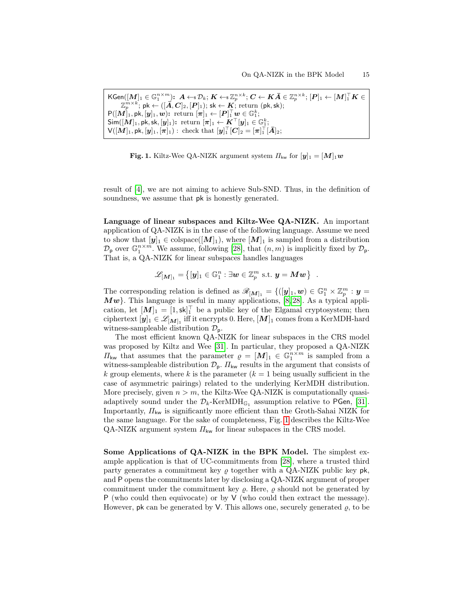$\mathsf{KGen}([M]_1\in\mathbb{G}_1^{n\times m})\colon\thinspace\boldsymbol{A}\leftarrow\!\!{}_{\mathsf{s}}\mathcal{D}_k; \thinspace\boldsymbol{K}\leftarrow\!\!{}_{\mathsf{s}}\mathbb{Z}_p^{n\times k}; \thinspace\boldsymbol{C}\leftarrow\boldsymbol{K}\bar{\boldsymbol{A}}\in\mathbb{Z}_p^{n\times k}; \left[\boldsymbol{P}\right]_1\leftarrow\left[\boldsymbol{M}\right]_1^\top\boldsymbol{K}\in\mathbb{Z}_p^{n\times k}$  $\mathbb{Z}_p^{m\times k};$  pk  $\leftarrow ([\vec{\bm A},\bm C]_2,[\bm P]_1);$  sk  $\leftarrow \bm K;$  return (pk, sk);  $P([{\boldsymbol M}]_1,{\mathsf{pk}}, [{\boldsymbol y}]_1,{\boldsymbol w})$ : return  $[\boldsymbol \pi]_1 \leftarrow [{\boldsymbol P}]_1^\top {\boldsymbol w} \in \mathbb{G}_1^k;$  $\mathsf{Sim}([{\boldsymbol M}]_1,\mathsf{pk} ,\mathsf{sk} ,[{\boldsymbol y}]_1)\mathsf{:} \;\; \text{return} \;[\boldsymbol \pi]_1 \leftarrow {\boldsymbol K}^\top [{\boldsymbol y}]_1 \in \mathbb{G}^k_1;$  $\mathsf{V}([{\tilde{\boldsymbol{M}}}]_1, \mathsf{pk}, [{\boldsymbol{y}}]_1, [{\boldsymbol{\pi}}]_1): \text{ check that } [{\boldsymbol{y}}]_1^\top [{\boldsymbol{C}}]_2 = [{\boldsymbol{\pi}}]_1^\top [\bar{\boldsymbol{A}}]_2;$ 

<span id="page-14-0"></span>Fig. 1. Kiltz-Wee QA-NIZK argument system  $\Pi_{kw}$  for  $[y]_1 = [M]_1 w$ 

result of [\[4\]](#page-28-8), we are not aiming to achieve Sub-SND. Thus, in the definition of soundness, we assume that pk is honestly generated.

Language of linear subspaces and Kiltz-Wee QA-NIZK. An important application of QA-NIZK is in the case of the following language. Assume we need to show that  $[y]_1 \in \text{colspace}([M]_1)$ , where  $[M]_1$  is sampled from a distribution  $\mathcal{D}_{\mathsf{p}}$  over  $\mathbb{G}_1^{n \times m}$ . We assume, following [\[28\]](#page-29-8), that  $(n,m)$  is implicitly fixed by  $\mathcal{D}_{\mathsf{p}}$ . That is, a QA-NIZK for linear subspaces handles languages

$$
\mathscr{L}_{[{\boldsymbol{M}}]_1} = \left\{ [\boldsymbol{y}]_1 \in \mathbb{G}_1^n : \exists \boldsymbol{w} \in \mathbb{Z}_p^m \text{ s.t. } \boldsymbol{y} = \boldsymbol{M}\boldsymbol{w} \right\} \enspace .
$$

The corresponding relation is defined as  $\mathscr{R}_{[M]_1} = \{([y]_1, w) \in \mathbb{G}_1^n \times \mathbb{Z}_p^m : y =$  $Mw$ . This language is useful in many applications, [\[8,](#page-28-15) [28\]](#page-29-8). As a typical application, let  $[M]_1 = [1, \text{sk}]_1^{\top}$  be a public key of the Elgamal cryptosystem; then ciphertext  $[\bm{y}]_1 \in \mathscr{L}_{[\bm{M}]_1}$  iff it encrypts  $0.$  Here,  $[\bm{M}]_1$  comes from a KerMDH-hard witness-sampleable distribution  $\mathcal{D}_{p}$ .

The most efficient known QA-NIZK for linear subspaces in the CRS model was proposed by Kiltz and Wee [\[31\]](#page-29-17). In particular, they proposed a QA-NIZK  $\Pi_{\mathsf{kw}}$  that assumes that the parameter  $\rho = [\mathbf{M}]_1 \in \mathbb{G}_1^{n \times m}$  is sampled from a witness-sampleable distribution  $\mathcal{D}_{p}$ .  $\Pi_{kw}$  results in the argument that consists of k group elements, where k is the parameter  $(k = 1)$  being usually sufficient in the case of asymmetric pairings) related to the underlying KerMDH distribution. More precisely, given  $n > m$ , the Kiltz-Wee QA-NIZK is computationally quasiadaptively sound under the  $\mathcal{D}_k$ -KerMDH<sub>G<sub>1</sub></sub> assumption relative to PGen, [\[31\]](#page-29-17). Importantly,  $\Pi_{kw}$  is significantly more efficient than the Groth-Sahai NIZK for the same language. For the sake of completeness, Fig. [1](#page-14-0) describes the Kiltz-Wee QA-NIZK argument system  $\Pi_{kw}$  for linear subspaces in the CRS model.

Some Applications of QA-NIZK in the BPK Model. The simplest example application is that of UC-commitments from [\[28\]](#page-29-8), where a trusted third party generates a commitment key  $\rho$  together with a QA-NIZK public key pk, and P opens the commitments later by disclosing a QA-NIZK argument of proper commitment under the commitment key  $\rho$ . Here,  $\rho$  should not be generated by P (who could then equivocate) or by V (who could then extract the message). However, pk can be generated by V. This allows one, securely generated  $\rho$ , to be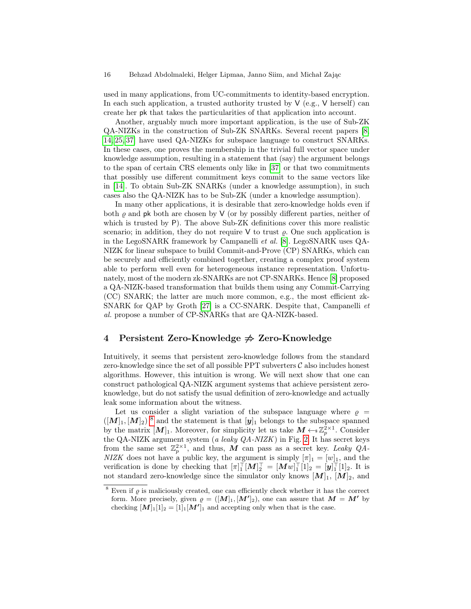used in many applications, from UC-commitments to identity-based encryption. In each such application, a trusted authority trusted by  $V$  (e.g.,  $V$  herself) can create her pk that takes the particularities of that application into account.

Another, arguably much more important application, is the use of Sub-ZK QA-NIZKs in the construction of Sub-ZK SNARKs. Several recent papers [\[8,](#page-28-15) [14,](#page-28-13) [25,](#page-29-14) [37\]](#page-29-15) have used QA-NIZKs for subspace language to construct SNARKs. In these cases, one proves the membership in the trivial full vector space under knowledge assumption, resulting in a statement that (say) the argument belongs to the span of certain CRS elements only like in [\[37\]](#page-29-15) or that two commitments that possibly use different commitment keys commit to the same vectors like in [\[14\]](#page-28-13). To obtain Sub-ZK SNARKs (under a knowledge assumption), in such cases also the QA-NIZK has to be Sub-ZK (under a knowledge assumption).

In many other applications, it is desirable that zero-knowledge holds even if both  $\rho$  and pk both are chosen by V (or by possibly different parties, neither of which is trusted by P). The above Sub-ZK definitions cover this more realistic scenario; in addition, they do not require  $V$  to trust  $\rho$ . One such application is in the LegoSNARK framework by Campanelli et al. [\[8\]](#page-28-15). LegoSNARK uses QA-NIZK for linear subspace to build Commit-and-Prove (CP) SNARKs, which can be securely and efficiently combined together, creating a complex proof system able to perform well even for heterogeneous instance representation. Unfortunately, most of the modern zk-SNARKs are not CP-SNARKs. Hence [\[8\]](#page-28-15) proposed a QA-NIZK-based transformation that builds them using any Commit-Carrying (CC) SNARK; the latter are much more common, e.g., the most efficient zk-SNARK for QAP by Groth [\[27\]](#page-29-4) is a CC-SNARK. Despite that, Campanelli et al. propose a number of CP-SNARKs that are QA-NIZK-based.

## <span id="page-15-0"></span>4 Persistent Zero-Knowledge  $\neq$  Zero-Knowledge

Intuitively, it seems that persistent zero-knowledge follows from the standard zero-knowledge since the set of all possible PPT subverters  $\mathcal C$  also includes honest algorithms. However, this intuition is wrong. We will next show that one can construct pathological QA-NIZK argument systems that achieve persistent zeroknowledge, but do not satisfy the usual definition of zero-knowledge and actually leak some information about the witness.

Let us consider a slight variation of the subspace language where  $\rho =$  $([M]_1, [M]_2)$ <sup>[8](#page-15-1)</sup> and the statement is that  $[y]_1$  belongs to the subspace spanned by the matrix  $[M]_1$ . Moreover, for simplicity let us take  $M \leftarrow \mathbb{Z}_p^{2 \times 1}$ . Consider the QA-NIZK argument system (a leaky QA-NIZK) in Fig. [2.](#page-16-1) It has secret keys from the same set  $\mathbb{Z}_p^{2\times 1}$ , and thus, M can pass as a secret key. Leaky QA-NIZK does not have a public key, the argument is simply  $[\pi]_1 = [w]_1$ , and the verification is done by checking that  $[\pi]_1^{\top}[M]_2^{\top} = [Mw]_1^{\top}[1]_2 = [y]_1^{\top}[1]_2$ . It is not standard zero-knowledge since the simulator only knows  $[M]_1$ ,  $[M]_2$ , and

<span id="page-15-1"></span> $8$  Even if  $\varrho$  is maliciously created, one can efficiently check whether it has the correct form. More precisely, given  $\varrho = ( [M]_1, [M']_2),$  one can assure that  $M = M'$  by checking  $[M]_1[1]_2 = [1]_1[M']_1$  and accepting only when that is the case.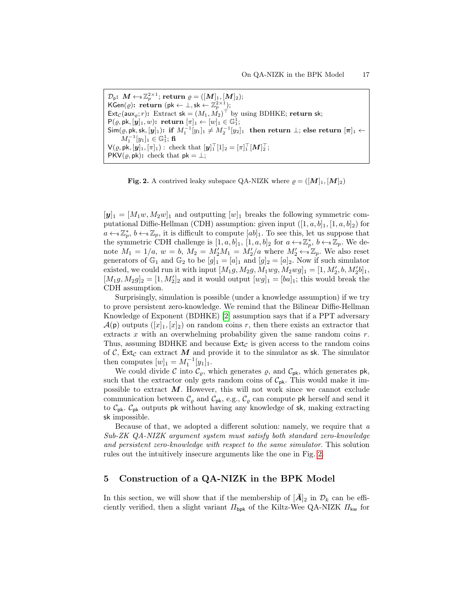$\mathcal{D}_\mathsf{p}\text{: } \ M \leftarrow \!\! \ast \mathbb{Z}_p^{2\times 1}; \ \mathbf{return } \ \varrho = ([M]_1, [M]_2);$ KGen $(\varrho)$ : return  $(\mathsf{pk} \leftarrow \bot, \mathsf{sk} \leftarrow \mathbb{Z}_p^{2 \times 1});$  $\mathsf{Ext}_{\mathcal{C}}(\mathsf{aux}_\varrho; r)$ : Extract  $\mathsf{sk} = (M_1, \dot{M_2})^\top$  by using BDHKE; return sk;  $P(\varrho, \mathsf{pk}, [\boldsymbol{y}]_1, w)$ : return  $[\pi]_1 \leftarrow [w]_1 \in \mathbb{G}_1^1;$  $\mathsf{Sim}(\varrho, \mathsf{pk}, \mathsf{sk}, [\pmb{y}]_1)$ : if  $M_1^{-1}[y_1]_1 \neq M_2^{-1}[y_2]_1$  then return  $\bot$ ; else return  $[\pmb{\pi}]_1 \leftarrow$  $M_1^{-1}[y_1]_1 \in \mathbb{G}_1^1;$  fi  $\mathsf{V}(\varrho, \mathsf{pk}, [\bm{y}]_1, [\pi]_1): \text{ check that } [\bm{y}]_1^\top [1]_2 = [\pi]_1^\top [\bm{M}]_2^\top;$ PKV( $\varrho$ , pk): check that pk =  $\perp$ ;

<span id="page-16-1"></span>Fig. 2. A contrived leaky subspace QA-NIZK where  $\rho = ( [M]_1, [M]_2)$ 

 $[y]_1 = [M_1 w, M_2 w]_1$  and outputting  $[w]_1$  breaks the following symmetric computational Diffie-Hellman (CDH) assumption: given input  $([1, a, b]_1, [1, a, b]_2)$  for  $a \leftarrow \mathbb{Z}_p^*, b \leftarrow \mathbb{Z}_p$ , it is difficult to compute  $[ab]_1$ . To see this, let us suppose that the symmetric CDH challenge is  $[1, a, b]_1$ ,  $[1, a, b]_2$  for  $a \leftarrow \mathbb{Z}_p^*$ ,  $b \leftarrow \mathbb{Z}_p$ . We denote  $M_1 = 1/a$ ,  $w = b$ ,  $M_2 = M_2'M_1 = M_2'/a$  where  $M_2' \leftarrow \mathbb{Z}_p$ . We also reset generators of  $\mathbb{G}_1$  and  $\mathbb{G}_2$  to be  $[g]_1 = [a]_1$  and  $[g]_2 = [a]_2$ . Now if such simulator existed, we could run it with input  $[M_1g, M_2g, M_1wg, M_2wg]_1 = [1, M'_2, b, M'_2b]_1$ ,  $[M_1g, M_2g]_2 = [1, M'_2]_2$  and it would output  $[wg]_1 = [ba]_1$ ; this would break the CDH assumption.

Surprisingly, simulation is possible (under a knowledge assumption) if we try to prove persistent zero-knowledge. We remind that the Bilinear Diffie-Hellman Knowledge of Exponent (BDHKE) [\[2\]](#page-28-6) assumption says that if a PPT adversary  $\mathcal{A}(\mathsf{p})$  outputs  $([x]_1, [x]_2)$  on random coins r, then there exists an extractor that extracts x with an overwhelming probability given the same random coins  $r$ . Thus, assuming BDHKE and because  $Ext_{\mathcal{C}}$  is given access to the random coins of C, Ext<sub>C</sub> can extract M and provide it to the simulator as sk. The simulator then computes  $[w]_1 = M_1^{-1}[y_1]_1$ .

We could divide C into  $\mathcal{C}_{\varrho}$ , which generates  $\rho$ , and  $\mathcal{C}_{\mathsf{pk}}$ , which generates pk, such that the extractor only gets random coins of  $C_{\text{pk}}$ . This would make it impossible to extract  $M$ . However, this will not work since we cannot exclude communication between  $\mathcal{C}_{\varrho}$  and  $\mathcal{C}_{\mathsf{pk}}$ , e.g.,  $\mathcal{C}_{\varrho}$  can compute pk herself and send it to  $C_{\mathsf{pk}}$ .  $C_{\mathsf{pk}}$  outputs pk without having any knowledge of sk, making extracting sk impossible.

Because of that, we adopted a different solution: namely, we require that a Sub-ZK QA-NIZK argument system must satisfy both standard zero-knowledge and persistent zero-knowledge with respect to the same simulator. This solution rules out the intuitively insecure arguments like the one in Fig. [2.](#page-16-1)

#### <span id="page-16-0"></span>5 Construction of a QA-NIZK in the BPK Model

In this section, we will show that if the membership of  $[\overline{A}]_2$  in  $\mathcal{D}_k$  can be efficiently verified, then a slight variant  $\Pi_{\text{bpk}}$  of the Kiltz-Wee QA-NIZK  $\Pi_{\text{kw}}$  for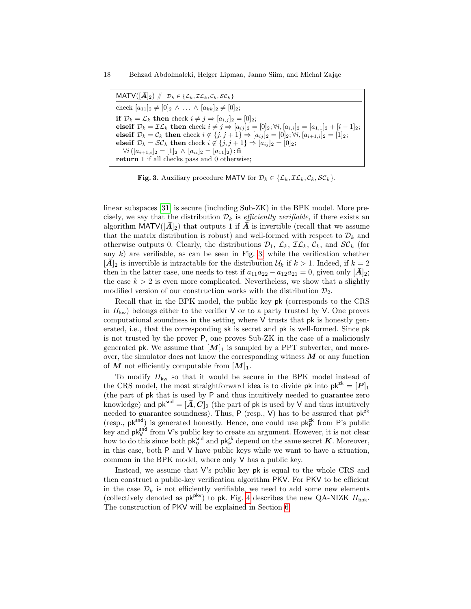| $\text{MATV}([A]_2) \# \mathcal{D}_k \in \{\mathcal{L}_k, \mathcal{IL}_k, \mathcal{C}_k, \mathcal{SC}_k\}$                                                                                                                                       |
|--------------------------------------------------------------------------------------------------------------------------------------------------------------------------------------------------------------------------------------------------|
| check $[a_{11}]_2 \neq [0]_2 \wedge  \wedge [a_{kk}]_2 \neq [0]_2;$                                                                                                                                                                              |
| if $\mathcal{D}_k = \mathcal{L}_k$ then check $i \neq j \Rightarrow  a_{i,j} _2 =  0 _2$ ;<br>elseif $\mathcal{D}_k = \mathcal{IL}_k$ then check $i \neq j \Rightarrow [a_{ij}]_2 = [0]_2; \forall i, [a_{i,i}]_2 = [a_{1,1}]_2 + [i-1]_2;$      |
| elseif $\mathcal{D}_k = \mathcal{C}_k$ then check $i \notin \{j, j+1\} \Rightarrow [a_{ij}]_2 = [0]_2; \forall i, [a_{i+1,i}]_2 = [1]_2;$                                                                                                        |
| elseif $\mathcal{D}_k = \mathcal{SC}_k$ then check $i \notin \{j, j+1\} \Rightarrow [a_{ij}]_2 = [0]_2$ ;<br>$\forall i \left( [a_{i+1,i}]_2 = [1]_2 \wedge [a_{ii}]_2 = [a_{11}]_2 \right);$ fi<br>return 1 if all checks pass and 0 otherwise; |

<span id="page-17-0"></span>Fig. 3. Auxiliary procedure MATV for  $\mathcal{D}_k \in \{\mathcal{L}_k, \mathcal{IL}_k, \mathcal{C}_k, \mathcal{SC}_k\}.$ 

linear subspaces [\[31\]](#page-29-17) is secure (including Sub-ZK) in the BPK model. More precisely, we say that the distribution  $\mathcal{D}_k$  is *efficiently verifiable*, if there exists an algorithm MATV( $[\overline{A}]_2$ ) that outputs 1 if  $\overline{A}$  is invertible (recall that we assume that the matrix distribution is robust) and well-formed with respect to  $\mathcal{D}_k$  and otherwise outputs 0. Clearly, the distributions  $\mathcal{D}_1$ ,  $\mathcal{L}_k$ ,  $\mathcal{IL}_k$ ,  $\mathcal{C}_k$ , and  $\mathcal{SC}_k$  (for any  $k$ ) are verifiable, as can be seen in Fig. [3,](#page-17-0) while the verification whether  $\bar{A}|_2$  is invertible is intractable for the distribution  $\mathcal{U}_k$  if  $k > 1$ . Indeed, if  $k = 2$ then in the latter case, one needs to test if  $a_{11}a_{22} - a_{12}a_{21} = 0$ , given only  $[\mathbf{\bar{A}}]_2$ ; the case  $k > 2$  is even more complicated. Nevertheless, we show that a slightly modified version of our construction works with the distribution  $\mathcal{D}_2$ .

Recall that in the BPK model, the public key pk (corresponds to the CRS in  $\Pi_{kw}$ ) belongs either to the verifier V or to a party trusted by V. One proves computational soundness in the setting where V trusts that pk is honestly generated, i.e., that the corresponding sk is secret and pk is well-formed. Since pk is not trusted by the prover P, one proves Sub-ZK in the case of a maliciously generated pk. We assume that  $[M]_1$  is sampled by a PPT subverter, and moreover, the simulator does not know the corresponding witness  $M$  or any function of M not efficiently computable from  $[M]_1$ .

To modify  $\Pi_{\mathsf{kw}}$  so that it would be secure in the BPK model instead of the CRS model, the most straightforward idea is to divide pk into  $pk^{zk} = [P]_1$ (the part of pk that is used by P and thus intuitively needed to guarantee zero knowledge) and  $pk^{snd} = [\overline{A}, C]_2$  (the part of pk is used by V and thus intuitively needed to guarantee soundness). Thus,  $P$  (resp., V) has to be assured that  $pk^{zk}$ (resp.,  $pk^{snd}$ ) is generated honestly. Hence, one could use  $pk^{zk}_{P}$  from P's public key and  $pk_{V}^{snd}$  from V's public key to create an argument. However, it is not clear how to do this since both  $pk^{\text{snd}}_{V}$  and  $pk^{\text{zk}}_{P}$  depend on the same secret K. Moreover, in this case, both  $P$  and  $V$  have public keys while we want to have a situation. common in the BPK model, where only V has a public key.

Instead, we assume that V's public key pk is equal to the whole CRS and then construct a public-key verification algorithm PKV. For PKV to be efficient in the case  $\mathcal{D}_k$  is not efficiently verifiable, we need to add some new elements (collectively denoted as  $pk^{pkv}$ ) to pk. Fig. [4](#page-18-0) describes the new QA-NIZK  $\Pi_{bpk}$ . The construction of PKV will be explained in Section [6.](#page-18-1)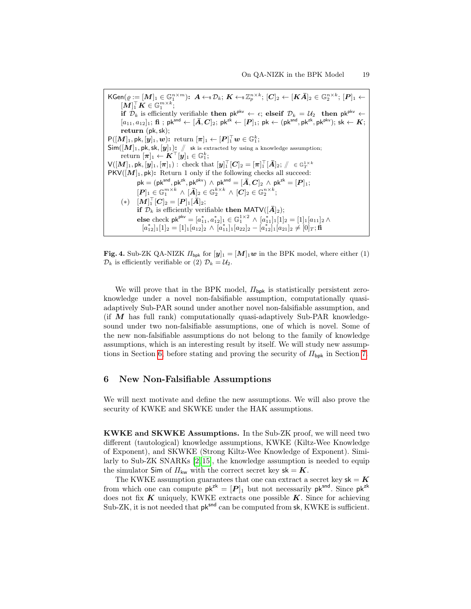$\mathsf{KGen}(\varrho:=[\bm{M}]_1\in\mathbb{G}_1^{n\times m})\colon\thinspace\bm{A}\leftarrow\!\!*\mathcal{D}_k;\thinspace\bm{K}\leftarrow\!\!*\mathbb{Z}_p^{n\times k};\thinspace [\bm{C}]_2\leftarrow[\bm{K}\bar{\bm{A}}]_2\in\mathbb{G}_2^{n\times k};\thinspace [\bm{P}]_1\leftarrow\!\!$  $[\boldsymbol{M}]_1^{\top} \boldsymbol{K} \in \mathbb{G}_1^{m \times k};$ if  $\mathcal{D}_k$  is efficiently verifiable then  $pk^{pkv} \leftarrow \epsilon$ ; elseif  $\mathcal{D}_k = \mathcal{U}_2$  then  $pk^{pkv} \leftarrow$  $[a_{11},a_{12}]_1; \, \mathbf{f} \mathbf{i} \, \, ; \, \mathsf{pk}^\mathsf{snd} \leftarrow [\bar{\pmb{A}}, \pmb{C}]_2; \, \mathsf{pk}^\mathsf{zk} \leftarrow [\pmb{P}]_1; \, \mathsf{pk} \leftarrow (\mathsf{pk}^\mathsf{snd}, \mathsf{pk}^\mathsf{zk}, \mathsf{pk}^\mathsf{pkv}) ; \, \mathsf{sk} \leftarrow \pmb{K};$ return (pk,sk);  $P([M]_1, \mathsf{pk}, [\boldsymbol{y}]_1, \boldsymbol{w})$ : return  $[\boldsymbol{\pi}]_1 \leftarrow [\boldsymbol{P}]_1^\top \boldsymbol{w} \in \mathbb{G}_1^k;$  $\textsf{Sim}([M]_1, \textsf{pk}, \textsf{sk}, [\textbf{y}]_1): \; / \! \! \! \; \; \; \textsf{sk}$  is extracted by using a knowledge assumption;  $\text{return } [\boldsymbol{\pi}]_1 \leftarrow \boldsymbol{K}^\top[\boldsymbol{y}]_1 \in \mathbb{G}_1^k;$  $\mathsf{V}([{\boldsymbol M}]_1,\mathsf{pk},[{\boldsymbol y}]_1,[\boldsymbol\pi]_1)$  : check that  $[{\boldsymbol y}]_1^\top[{\boldsymbol C}]_2=[\boldsymbol\pi]_1^\top[\bar{A}]_2; \mathbin{\mathord\mathbb{l}} \in \mathbb{G}_T^{1\times k}$  $PKV([M]_1, \text{pk})$ : Return 1 only if the following checks all succeed:  $\mathsf{pk} = (\mathsf{pk}^\mathsf{snd}, \mathsf{pk}^\mathsf{zk}, \mathsf{pk}^\mathsf{pkv}) \, \wedge \, \mathsf{pk}^\mathsf{snd} = [\bar{\bm{A}}, \bm{C}]_2 \, \wedge \, \mathsf{pk}^\mathsf{zk} = [\bm{P}]_1;$  $[\boldsymbol{P}]_1 \in \mathbb{G}_1^{m \times k} \wedge [\bar{\boldsymbol{A}}]_2 \in \mathbb{G}_2^{k \times k} \wedge [\boldsymbol{C}]_2 \in \mathbb{G}_2^{n \times k};$  $(*) \quad [\bm{M}]_1^\top [\bm{C}]_2 = [\bm{P}]_1 [\bar{\bm{A}}]_2;$ if  $\mathcal{D}_k$  is efficiently verifiable then MATV( $[\bar{A}]_2$ ); else check  $pk^{pkv} = [a_{11}^*, a_{12}^*]_1 \in \mathbb{G}_1^{1 \times 2} \wedge [a_{11}^*]_1[1]_2 = [1]_1[a_{11}]_2 \wedge$  $[a_{12}^*]_1[1]_2=[1]_1[a_{12}]_2 \wedge [a_{11}^*]_1[a_{22}]_2-[a_{12}^*]_1[a_{21}]_2\neq [0]_T;$  fi

<span id="page-18-0"></span>Fig. 4. Sub-ZK QA-NIZK  $\Pi_{\text{bpk}}$  for  $[y]_1 = [M]_1 w$  in the BPK model, where either (1)  $\mathcal{D}_k$  is efficiently verifiable or (2)  $\mathcal{D}_k = \mathcal{U}_2$ .

We will prove that in the BPK model,  $\Pi_{\text{bpk}}$  is statistically persistent zeroknowledge under a novel non-falsifiable assumption, computationally quasiadaptively Sub-PAR sound under another novel non-falsifiable assumption, and (if  $M$  has full rank) computationally quasi-adaptively Sub-PAR knowledgesound under two non-falsifiable assumptions, one of which is novel. Some of the new non-falsifiable assumptions do not belong to the family of knowledge assumptions, which is an interesting result by itself. We will study new assump-tions in Section [6,](#page-18-1) before stating and proving the security of  $\Pi_{\text{bpk}}$  in Section [7.](#page-24-1)

### <span id="page-18-1"></span>6 New Non-Falsifiable Assumptions

We will next motivate and define the new assumptions. We will also prove the security of KWKE and SKWKE under the HAK assumptions.

KWKE and SKWKE Assumptions. In the Sub-ZK proof, we will need two different (tautological) knowledge assumptions, KWKE (Kiltz-Wee Knowledge of Exponent), and SKWKE (Strong Kiltz-Wee Knowledge of Exponent). Similarly to Sub-ZK SNARKs [\[2,](#page-28-6) [15\]](#page-28-7), the knowledge assumption is needed to equip the simulator Sim of  $\Pi_{kw}$  with the correct secret key  $sk = K$ .

The KWKE assumption guarantees that one can extract a secret key  $sk = K$ from which one can compute  $pk^{zk} = [P]_1$  but not necessarily  $pk^{snd}$ . Since  $pk^{zk}$ does not fix  $K$  uniquely, KWKE extracts one possible  $K$ . Since for achieving Sub-ZK, it is not needed that  $pk^{snd}$  can be computed from  $sk$ , KWKE is sufficient.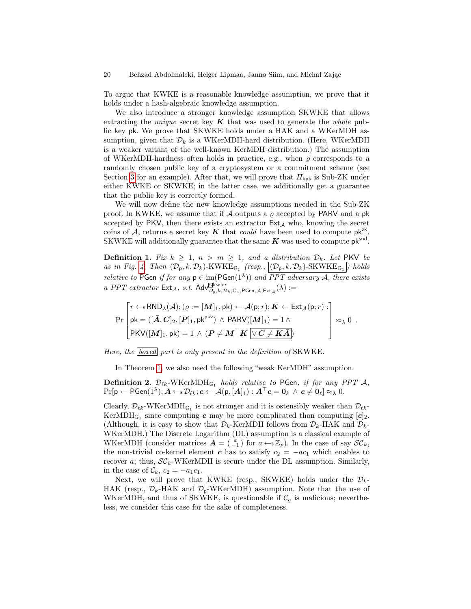20 Behzad Abdolmaleki, Helger Lipmaa, Janno Siim, and Michał Zając

To argue that KWKE is a reasonable knowledge assumption, we prove that it holds under a hash-algebraic knowledge assumption.

We also introduce a stronger knowledge assumption SKWKE that allows extracting the *unique* secret key  $\boldsymbol{K}$  that was used to generate the *whole* public key pk. We prove that SKWKE holds under a HAK and a WKerMDH assumption, given that  $\mathcal{D}_k$  is a WKerMDH-hard distribution. (Here, WKerMDH is a weaker variant of the well-known KerMDH distribution.) The assumption of WKerMDH-hardness often holds in practice, e.g., when  $\varrho$  corresponds to a randomly chosen public key of a cryptosystem or a commitment scheme (see Section [3](#page-9-0) for an example). After that, we will prove that  $\Pi_{\text{bpk}}$  is Sub-ZK under either KWKE or SKWKE; in the latter case, we additionally get a guarantee that the public key is correctly formed.

We will now define the new knowledge assumptions needed in the Sub-ZK proof. In KWKE, we assume that if  $A$  outputs a  $\varrho$  accepted by PARV and a pk accepted by PKV, then there exists an extractor  $Ext_{\mathcal{A}}$  who, knowing the secret coins of A, returns a secret key K that *could* have been used to compute  $pk^{zk}$ . SKWKE will additionally guarantee that the same  $K$  was used to compute  $p$ k<sup>snd</sup>.

**Definition 1.** Fix  $k \geq 1$ ,  $n > m \geq 1$ , and a distribution  $\mathcal{D}_k$ . Let PKV be as in Fig. [4.](#page-18-0) Then  $(\mathcal{D}_{p}, k, \mathcal{D}_{k})$ -KWKE<sub> $\mathbb{G}_1$ </sub> (resp.,  $|(\mathcal{D}_{p}, k, \mathcal{D}_{k})$ -SKWKE $\mathbb{G}_1|$ ) holds relative to PGen if for any  $p \in im(PGen(1^{\lambda}))$  and PPT adversary A, there exists a PPT extractor  $\mathsf{Ext}_{\mathcal{A}}, s.t.$  Adv $\overline{\mathbb{S}}_{\mathcal{D}_{p},k,\mathcal{D}_{k},\mathbb{G}_{1},\mathsf{PGen},\mathcal{A},\mathsf{Ext}_{\mathcal{A}}(\lambda) :=$ 

$$
\Pr\left[\begin{matrix} r \leftarrow_{\mathsf{s}} \mathsf{RND}_{\lambda}(\mathcal{A}); ( \varrho := [M]_1, \mathsf{pk}) \leftarrow \mathcal{A}(\mathsf{p}; r); \mathbf{K} \leftarrow \mathsf{Ext}_{\mathcal{A}}(\mathsf{p}; r) : \\ \mathsf{pk} = ([\bar{\mathbf{A}}, \mathbf{C}]_2, [\mathbf{P}]_1, \mathsf{pk}^{\mathsf{pkv}}) \wedge \mathsf{PARV}([M]_1) = 1 \wedge \\ \mathsf{PKV}([M]_1, \mathsf{pk}) = 1 \wedge (\mathbf{P} \neq \mathbf{M}^\top \mathbf{K} \underline{\vee \mathbf{C} \neq \mathbf{K} \bar{\mathbf{A}}}) \end{matrix}\right] \approx_{\lambda} 0.
$$

Here, the  $\overline{bored}$  part is only present in the definition of SKWKE.

In Theorem [1,](#page-19-0) we also need the following "weak KerMDH" assumption.

**Definition 2.**  $\mathcal{D}_{\ell k}$ -WKerMDH<sub>G1</sub> holds relative to PGen, if for any PPT A,  $\Pr[\mathsf{p}\leftarrow \mathsf{PGen}(1^{\lambda}); A \leftarrow \!\! s\,\mathcal{D}_{\ell k}; \bm{c}\leftarrow \mathcal{A}(\mathsf{p}, [\bm{A}]_1): \bm{A}^\top\bm{c} = \bm{0}_k \,\wedge\,\bm{c}\neq \bm{0}_\ell] \approx_{\lambda} 0.$ 

Clearly,  $\mathcal{D}_{\ell k}$ -WKerMDH<sub>G<sub>1</sub></sub> is not stronger and it is ostensibly weaker than  $\mathcal{D}_{\ell k}$ -KerMDH<sub> $G_1$ </sub> since computing c may be more complicated than computing  $[c]_2$ . (Although, it is easy to show that  $\mathcal{D}_k$ -KerMDH follows from  $\mathcal{D}_k$ -HAK and  $\mathcal{D}_k$ -WKerMDH.) The Discrete Logarithm (DL) assumption is a classical example of WKerMDH (consider matrices  $\mathbf{A} = \begin{pmatrix} a & b \\ -1 & c \end{pmatrix}$  for  $a \leftarrow \mathbb{Z}_p$ ). In the case of say  $\mathcal{SC}_k$ , the non-trivial co-kernel element c has to satisfy  $c_2 = -ac_1$  which enables to recover a; thus,  $SC_k$ -WKerMDH is secure under the DL assumption. Similarly, in the case of  $\mathcal{C}_k$ ,  $c_2 = -a_1c_1$ .

<span id="page-19-0"></span>Next, we will prove that KWKE (resp., SKWKE) holds under the  $\mathcal{D}_k$ -HAK (resp.,  $\mathcal{D}_k$ -HAK and  $\mathcal{D}_p$ -WKerMDH) assumption. Note that the use of WKerMDH, and thus of SKWKE, is questionable if  $\mathcal{C}_{\rho}$  is malicious; nevertheless, we consider this case for the sake of completeness.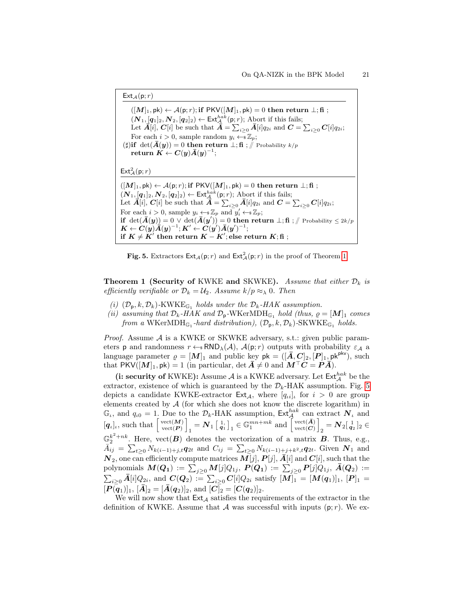$\mathsf{Ext}_{\mathcal{A}}(\mathsf{p}; r)$ 

 $([M]_1, \mathrm{pk}) \leftarrow \mathcal{A}(\mathrm{p};r); \text{if } \mathsf{PKV}([M]_1, \mathrm{pk}) = 0 \text{ then return } \perp; \text{fi};$  $(N_1, [q_1]_2, N_2, [q_2]_2) \leftarrow \mathsf{Ext}^{hak}_{\mathcal{A}}(\mathsf{p}; r);$  Abort if this fails; Let  $\vec{A}[i], C[i]$  be such that  $\vec{A} = \sum_{i \geq 0} \vec{A}[i]q_{2i}$  and  $\vec{C} = \sum_{i \geq 0} C[i]q_{2i}$ ; For each  $i > 0$ , sample random  $y_i \leftarrow \mathbb{Z}_p$ ; ( $\sharp$ )if det( $\bar{A}(y)$ ) = 0 then return  $\bot$ ; fi ;  $\#$  Probability  $k/p$  $\text{return }\widetilde{\boldsymbol{K}}\leftarrow\boldsymbol{C}(\boldsymbol{y})\bar{\boldsymbol{A}}(\boldsymbol{y})^{-1};$  $\mathsf{Ext}^2_{\mathcal{A}}(\mathsf{p}; r)$  $([M]_1, \mathrm{pk}) \leftarrow \mathcal{A}(\mathrm{p}; r);$  if PKV $([M]_1, \mathrm{pk}) = 0$  then return  $\perp; \mathrm{fl}$ ;  $(N_1, [q_1]_2, N_2, [q_2]_2) \leftarrow \mathsf{Ext}^{hak}_{\mathcal{A}}(\mathsf{p}; r);$  Abort if this fails; Let  $\vec{A}[i], C[i]$  be such that  $\vec{A} = \sum_{i \geq 0} \vec{A}[i]q_{2i}$  and  $C = \sum_{i \geq 0} C[i]q_{2i}$ ; For each  $i > 0$ , sample  $y_i \leftarrow \mathbb{Z}_p$  and  $y'_i \leftarrow \mathbb{Z}_p$ ;  ${\bf if} \;\det(\bar{\pmb A}(\pmb y))=0\;\vee\;\det(\bar{\pmb A}(\pmb y'))=0\;\textbf{then}\; \textbf{return}\perp; {\bf fi}\;;/\!/ \;\text{Probability}\leq 2k/p$  $\boldsymbol{K} \leftarrow \boldsymbol{C}(\boldsymbol{y})\tilde{\boldsymbol{A}}(\boldsymbol{y})^{-1}; \boldsymbol{K}' \leftarrow \boldsymbol{C}(\boldsymbol{y}')\bar{\boldsymbol{A}}(\boldsymbol{y}')^{-1};$  $\text{if} \,\, K \neq K' \text{ then return } K - K'; \text{else return } K; \text{fi };$ 

<span id="page-20-0"></span>Fig. 5. Extractors  $\text{Ext}_{\mathcal{A}}(\mathsf{p}; r)$  and  $\text{Ext}_{\mathcal{A}}^2(\mathsf{p}; r)$  in the proof of Theorem [1](#page-19-0)

**Theorem 1 (Security of** KWKE and SKWKE). Assume that either  $\mathcal{D}_k$  is efficiently verifiable or  $\mathcal{D}_k = \mathcal{U}_2$ . Assume  $k/p \approx_\lambda 0$ . Then

- (i)  $(\mathcal{D}_{\mathbf{p}}, k, \mathcal{D}_k)$ -KWKE<sub>G1</sub> holds under the  $\mathcal{D}_k$ -HAK assumption.
- (ii) assuming that  $\mathcal{D}_k$ -HAK and  $\mathcal{D}_p$ -WKerMDH<sub>G<sub>1</sub></sub> hold (thus,  $\rho = [\mathbf{M}]_1$  comes from a WKerMDH<sub>G<sub>1</sub></sub>-hard distribution),  $(\mathcal{D}_{p}, k, \mathcal{D}_{k})$ -SKWKE<sub>G<sub>1</sub></sub> holds.

*Proof.* Assume  $A$  is a KWKE or SKWKE adversary, s.t.: given public parameters **p** and randomness  $r \leftarrow s \text{RND}_{\lambda}(\mathcal{A}), \mathcal{A}(\mathbf{p}; r)$  outputs with probability  $\varepsilon_{\mathcal{A}}$  a language parameter  $\rho = [M]_1$  and public key  $pk = ([\bar{A}, C]_2, [P]_1, pk^{pkv})$ , such that  $PKV([M]_1, \text{pk}) = 1$  (in particular,  $\det \overline{A} \neq 0$  and  $M^{\dagger}C = P\overline{A}$ ).

(i: security of KWKE): Assume  $\mathcal A$  is a KWKE adversary. Let  $\mathsf{Ext}^{hak}_{\mathcal A}$  be the extractor, existence of which is guaranteed by the  $\mathcal{D}_k$ -HAK assumption. Fig. [5](#page-20-0) depicts a candidate KWKE-extractor  $\text{Ext}_{\mathcal{A}}$ , where  $[q_{ui}]_i$  for  $i > 0$  are group elements created by  $A$  (for which she does not know the discrete logarithm) in  $\mathbb{G}_t$ , and  $q_{\iota 0} = 1$ . Due to the  $\mathcal{D}_k$ -HAK assumption,  $\text{Ext}_{\mathcal{A}}^{hak}$  can extract  $\mathcal{N}_\iota$  and  $[q_\iota]_\iota$ , such that  $\left[\begin{smallmatrix} \text{vect}(M) \\ \text{vect}(P) \end{smallmatrix}\right]$  $\text{vect}(\bm{M}) \bigg[$ <br> $\text{vect}(\bm{P})$  $\mathbf{N}_1 \begin{bmatrix} 1 \\ \mathbf{q}_1 \end{bmatrix}_1 \in \mathbb{G}_1^{mn+mk}$  and  $\begin{bmatrix} \text{vect}(\bar{A}) \\ \text{vect}(C) \end{bmatrix}$  $\left. \begin{array}{c} \mathrm{vect}(\bar{\bm A}) \ \mathrm{vect}(\bm C) \end{array} \right]$  $\bm{N}_2[\frac{1}{\bm{q}_2}]_2 \in \bm{N}_2$  $\mathbb{G}_2^{k^2+nk}$ . Here, vect(**B**) denotes the vectorization of a matrix **B**. Thus, e.g.,  $\tilde{A}_{ij} = \sum_{t \geq 0} N_{k(i-1)+j,t} q_{2t}$  and  $C_{ij} = \sum_{t \geq 0} N_{k(i-1)+j+k^2,t} q_{2t}$ . Given  $N_1$  and  $N_2$ , one can efficiently compute matrices  $M[j], P[j], \overline{A}[i]$  and  $C[i]$ , such that the polynomials  $\bm{M}(\bm{Q_1})\,:=\,\sum_{j\geq 0} \bm{M}[j]Q_{1j},\;\bm{P}(\bm{Q_1})\,:=\,\sum_{j\geq 0} \bm{P}[j]Q_{1j},\;\bar{\bm{A}}(\bm{Q_2})\,:=\,\bm{P}[j]Q_{2j},\;\bar{\bm{A}}(\bm{Q_3})\,:=\,\bm{P}[j]Q_{3j},\;\bar{\bm{A}}(\bm{Q_3})\,:=\,\bm{P}[j]Q_{3j},\;\bar{\bm{A}}(\bm{Q_3})\,:=\,\bm{P}[j]Q_{3j},\;\bar{\bm{A}}(\bm{Q_$  $\sum_{i\geq 0} \bar{A}[i]Q_{2i}$ , and  $\bm{C}(\bm{Q}_2) := \sum_{i\geq 0} \bm{C}[i]Q_{2i}$  satisfy  $[\bm{M}]_1 = [\bm{M}(\bm{q}_1)]_1$ ,  $[\bm{P}]_1 =$  $[P(q_1)]_1, [\bar{A}]_2 = [\bar{A}(q_2)]_2$ , and  $[C]_2 = [C(q_2)]_2$ .

We will now show that  $Ext_{\mathcal{A}}$  satisfies the requirements of the extractor in the definition of KWKE. Assume that A was successful with inputs  $(p; r)$ . We ex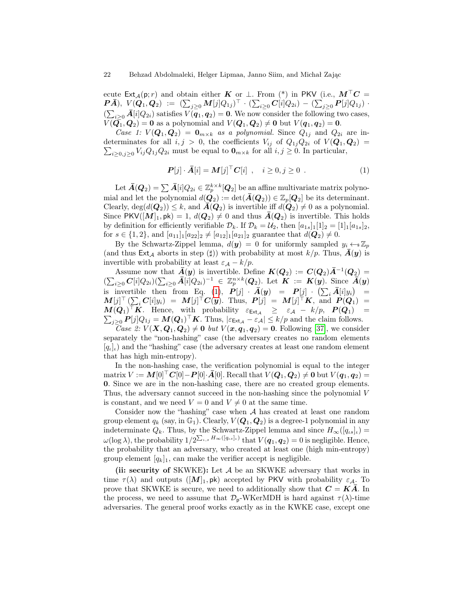ecute Ext<sub>A</sub>(p; r) and obtain either K or ⊥. From (\*) in PKV (i.e.,  $M<sup>T</sup>C$  =  $(\bm{P}\bar{\bm{A}}),\; V(\bm{Q}_1,\bm{Q}_2) \; :=\; (\sum_{j\geq 0} \bm{M}[j]Q_{1j})^\top \, \cdot \, (\sum_{i\geq 0} \bm{C}[i]Q_{2i}) \, - \, (\sum_{j\geq 0} \bm{P}[j]Q_{1j}) \, \cdot \,.$  $(\sum_{i\geq 0} \bar{A}[i]Q_{2i})$  satisfies  $V(q_1, q_2) = 0$ . We now consider the following two cases,  $V(\bar{Q_1}, Q_2) = 0$  as a polynomial and  $V(Q_1, Q_2) \neq 0$  but  $V(q_1, q_2) = 0$ .

Case 1:  $V(Q_1, Q_2) = \mathbf{0}_{m \times k}$  as a polynomial. Since  $Q_{1j}$  and  $Q_{2i}$  are in- $\sum_{i\geq 0, j\geq 0} V_{ij}Q_{1j}Q_{2i}$  must be equal to  $\mathbf{0}_{m\times k}$  for all  $i, j \geq 0$ . In particular, determinates for all  $i, j > 0$ , the coefficients  $V_{ij}$  of  $Q_{1j}Q_{2i}$  of  $V(Q_1, Q_2)$ 

<span id="page-21-0"></span>
$$
\boldsymbol{P}[j] \cdot \bar{\boldsymbol{A}}[i] = \boldsymbol{M}[j]^\top \boldsymbol{C}[i] \ , \quad i \geq 0, j \geq 0 \ . \tag{1}
$$

Let  $\bar{A}(Q_2) = \sum \bar{A}[i]Q_{2i} \in \mathbb{Z}_p^{k \times k}[Q_2]$  be an affine multivariate matrix polynomial and let the polynomial  $d(Q_2) := \det(\bar{A}(Q_2)) \in \mathbb{Z}_p[Q_2]$  be its determinant. Clearly,  $deg(d(Q_2)) \leq k$ , and  $\bar{A}(Q_2)$  is invertible iff  $d(Q_2) \neq 0$  as a polynomial. Since PKV( $[M]_1$ , pk) = 1,  $d(Q_2) \neq 0$  and thus  $\bar{A}(Q_2)$  is invertible. This holds by definition for efficiently verifiable  $\mathcal{D}_k$ . If  $\mathcal{D}_k = \mathcal{U}_2$ , then  $[a_{1s}]_1[1]_2 = [1]_1[a_{1s}]_2$ , for  $s \in \{1,2\}$ , and  $[a_{11}]_1[a_{22}]_2 \neq [a_{12}]_1[a_{21}]_2$  guarantee that  $d(Q_2) \neq 0$ .

By the Schwartz-Zippel lemma,  $d(\mathbf{y}) = 0$  for uniformly sampled  $y_i \leftarrow \mathbb{Z}_p$ (and thus Ext<sub>A</sub> aborts in step ( $\sharp$ )) with probability at most  $k/p$ . Thus,  $\bar{A}(y)$  is invertible with probability at least  $\varepsilon_{\mathcal{A}} - k/p$ .

Assume now that  $\bar{A}(y)$  is invertible. Define  $K(Q_2) := C(Q_2)\bar{A}^{-1}(Q_2) =$  $(\sum_{i\geq 0} C[i]Q_{2i})(\sum_{i\geq 0}\bar{A}[i]Q_{2i})^{-1} \in \mathbb{Z}_p^{n\times k}(Q_2)$ . Let  $K := K(y)$ . Since  $\bar{A}(y)$ is invertible then from Eq. [\(1\)](#page-21-0),  $\mathbf{P}[j] \cdot \mathbf{A}(y) = \mathbf{P}[j] \cdot (\sum_i \mathbf{A}[i]y_i) =$  $\boldsymbol{M}[j]^\top \left( \sum_i \boldsymbol{C}[i] y_i \right) \;=\; \boldsymbol{M}[j]^\top \boldsymbol{C}(\boldsymbol{y}). \;\; \text{Thus,} \;\; \boldsymbol{P}[j] \;=\; \boldsymbol{M}[j]^\top \boldsymbol{K}, \;\text{and} \;\; \boldsymbol{P}(\boldsymbol{Q}_1) \;=\;$  $\bm{M}(\bm{Q}_1)$  $\sum$  $\overline{K}$ . Hence, with probability  $\varepsilon_{\text{Ext}_{\mathcal{A}}} \geq \varepsilon_{\mathcal{A}} - k/p$ ,  $P(Q_1) =$  $j \geq 0$   $P[j]Q_{1j} = M(Q_1)^\top K$ . Thus,  $|\varepsilon_{\text{Ext}_{\mathcal{A}}} - \varepsilon_{\mathcal{A}}| \leq k/p$  and the claim follows.

Case 2:  $V(X, \mathbf{Q}_1, \mathbf{Q}_2) \neq \mathbf{0}$  but  $V(\mathbf{x}, \mathbf{q}_1, \mathbf{q}_2) = \mathbf{0}$ . Following [\[37\]](#page-29-15), we consider separately the "non-hashing" case (the adversary creates no random elements  $[q_{\iota}]_{\iota}$ ) and the "hashing" case (the adversary creates at least one random element that has high min-entropy).

In the non-hashing case, the verification polynomial is equal to the integer matrix  $V := M[0]^\top C[0] - P[0] \cdot \bar{A}[0]$ . Recall that  $V(Q_1, Q_2) \neq 0$  but  $V(q_1, q_2) =$ 0. Since we are in the non-hashing case, there are no created group elements. Thus, the adversary cannot succeed in the non-hashing since the polynomial V is constant, and we need  $V = 0$  and  $V \neq 0$  at the same time.

Consider now the "hashing" case when A has created at least one random group element  $q_k$  (say, in  $\mathbb{G}_1$ ). Clearly,  $V(\mathbf{Q}_1, \mathbf{Q}_2)$  is a degree-1 polynomial in any indeterminate  $Q_k$ . Thus, by the Schwartz-Zippel lemma and since  $H_{\infty}([q_{is}]_i)$  =  $\omega(\log \lambda),$  the probability  $1/2^{\sum_{\iota,s} H_\infty([\![q_{\iota s}]_\iota])}$  that  $V(\bm{q}_1,\bm{q}_2)=0$  is negligible. Hence, the probability that an adversary, who created at least one (high min-entropy) group element  $[q_k]_1$ , can make the verifier accept is negligible.

(ii: security of SKWKE): Let  $\mathcal A$  be an SKWKE adversary that works in time  $\tau(\lambda)$  and outputs  $([M]_1, \text{pk})$  accepted by PKV with probability  $\varepsilon_A$ . To prove that SKWKE is secure, we need to additionally show that  $C = KA$ . In the process, we need to assume that  $\mathcal{D}_{p}$ -WKerMDH is hard against  $\tau(\lambda)$ -time adversaries. The general proof works exactly as in the KWKE case, except one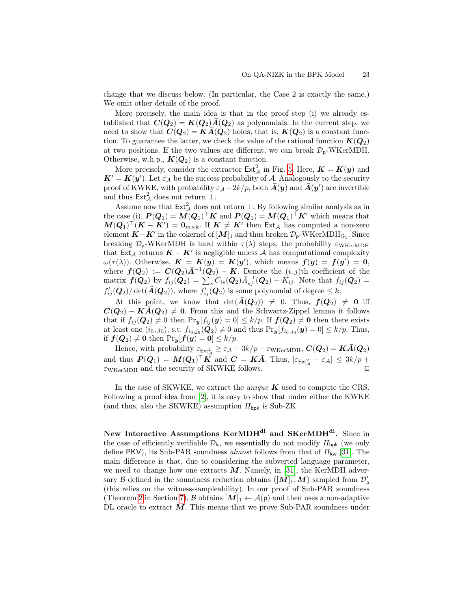change that we discuss below. (In particular, the Case 2 is exactly the same.) We omit other details of the proof.

More precisely, the main idea is that in the proof step (i) we already established that  $C(Q_2) = K(Q_2) \overline{A}(Q_2)$  as polynomials. In the current step, we need to show that  $C(Q_2) = K\overline{A}(Q_2)$  holds, that is,  $K(Q_2)$  is a constant function. To guarantee the latter, we check the value of the rational function  $K(Q_2)$ at two positions. If the two values are different, we can break  $\mathcal{D}_{p}$ -WKerMDH. Otherwise, w.h.p.,  $K(Q_2)$  is a constant function.

More precisely, consider the extractor  $\mathsf{Ext}^2_{\mathcal{A}}$  in Fig. [5.](#page-20-0) Here,  $\boldsymbol{K} = \boldsymbol{K}(\boldsymbol{y})$  and  $K' = K(y')$ . Let  $\varepsilon_A$  be the success probability of A. Analogously to the security proof of KWKE, with probability  $\varepsilon_{\mathcal{A}} - 2k/p$ , both  $\bar{A}(y)$  and  $\bar{A}(y')$  are invertible and thus  $\text{Ext}_{\mathcal{A}}^2$  does not return  $\bot$ .

Assume now that  $\text{Ext}_{\mathcal{A}}^2$  does not return  $\bot$ . By following similar analysis as in the case (i),  $P(Q_1) = M(Q_1)^\top K$  and  $P(Q_1) = M(Q_1)^\top K'$  which means that  $\bm{M}(\bm{Q}_1)^\top(\bm{K}-\bm{K}')=\bm{0}_{m\times k}.$  If  $\bm{K}\neq\bm{K}'$  then  $\mathsf{Ext}_{\mathcal{A}}$  has computed a non-zero element  $K - K'$  in the cokernel of  $[M]_1$  and thus broken  $\mathcal{D}_p$ -WKerMDH<sub>G1</sub>. Since breaking  $\mathcal{D}_{p}$ -WKerMDH is hard within  $\tau(\lambda)$  steps, the probability  $\varepsilon_{W\text{KerMDH}}$ that  $\text{Ext}_{\mathcal{A}}$  returns  $K - K'$  is negligible unless A has computational complexity  $\omega(\tau(\lambda))$ . Otherwise,  $\mathbf{K} = \mathbf{K}(\mathbf{y}) = \mathbf{K}(\mathbf{y}')$ , which means  $\mathbf{f}(\mathbf{y}) = \mathbf{f}(\mathbf{y}') = \mathbf{0}$ , where  $f(Q_2) := C(Q_2) \overline{A}^{-1}(Q_2) - K$ . Denote the  $(i, j)$ th coefficient of the matrix  $f(Q_2)$  by  $f_{ij}(Q_2) = \sum_s C_{is}(Q_2) \bar{A}_{sj}^{-1}(Q_2) - K_{ij}$ . Note that  $f_{ij}(Q_2) =$  $f'_{ij}(\mathbf{Q}_2) / \det(\bar{\mathbf{A}}(\mathbf{Q}_2)),$  where  $f'_{ij}(\mathbf{Q}_2)$  is some polynomial of degree  $\leq k$ .

At this point, we know that  $\det(\bar{A}(Q_2)) \neq 0$ . Thus,  $f(Q_2) \neq 0$  iff  $C(Q_2) - K\overline{A}(Q_2) \neq 0$ . From this and the Schwartz-Zippel lemma it follows that if  $f_{ij}(\mathbf{Q}_2) \neq 0$  then  $\text{Pr}_{\mathbf{y}}[f_{ij}(\mathbf{y}) = 0] \leq k/p$ . If  $\mathbf{f}(\mathbf{Q}_2) \neq 0$  then there exists at least one  $(i_0, j_0)$ , s.t.  $f_{i_0, j_0}(Q_2) \neq 0$  and thus  $Pr_{\mathbf{y}}[f_{i_0, j_0}(\mathbf{y}) = 0] \leq k/p$ . Thus, if  $f(Q_2) \neq 0$  then  $\Pr_{y}[f(y) = 0] \leq k/p$ .

Hence, with probability  $\varepsilon_{\mathsf{Ext}^2_{\mathcal{A}}} \geq \varepsilon_{\mathcal{A}} - 3k/p - \varepsilon_{\textrm{WKerMDH}}, \, \boldsymbol{C}(\boldsymbol{Q}_{2}) = \boldsymbol{K} \bar{\boldsymbol{A}}(\boldsymbol{Q}_{2})$ and thus  $P(Q_1) = M(Q_1)^\top K$  and  $C = K\overline{A}$ . Thus,  $|\varepsilon_{\text{Ext}_{\mathcal{A}}^2} - \varepsilon_{\mathcal{A}}| \leq 3k/p +$  $\varepsilon_{\text{WKerMDH}}$  and the security of SKWKE follows.

In the case of SKWKE, we extract the *unique*  $\boldsymbol{K}$  used to compute the CRS. Following a proof idea from [\[2\]](#page-28-6), it is easy to show that under either the KWKE (and thus, also the SKWKE) assumption  $\Pi_{\text{bpk}}$  is Sub-ZK.

New Interactive Assumptions  $\text{KerMDH}^{\text{dl}}$  and  $\text{SKerMDH}^{\text{dl}}$ . Since in the case of efficiently verifiable  $\mathcal{D}_k$ , we essentially do not modify  $\Pi_{\text{bpk}}$  (we only define PKV), its Sub-PAR soundness almost follows from that of  $\Pi_{kw}$  [\[31\]](#page-29-17). The main difference is that, due to considering the subverted language parameter, we need to change how one extracts  $M$ . Namely, in [\[31\]](#page-29-17), the KerMDH adversary  $\mathcal B$  defined in the soundness reduction obtains  $([M]_1, M)$  sampled from  $\mathcal D'_{\mathsf p}$ (this relies on the witness-sampleability). In our proof of Sub-PAR soundness (Theorem [2](#page-24-2) in Section [7\)](#page-24-1), B obtains  $[M]_1 \leftarrow A(p)$  and then uses a non-adaptive DL oracle to extract  $M$ . This means that we prove Sub-PAR soundness under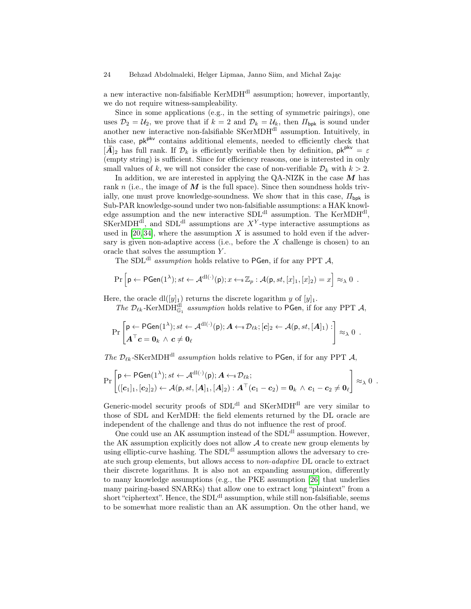a new interactive non-falsifiable KerMDH<sup>dl</sup> assumption; however, importantly, we do not require witness-sampleability.

Since in some applications (e.g., in the setting of symmetric pairings), one uses  $\mathcal{D}_2 = \mathcal{U}_2$ , we prove that if  $k = 2$  and  $\mathcal{D}_k = \mathcal{U}_k$ , then  $\Pi_{\text{bpk}}$  is sound under another new interactive non-falsifiable SKerMDH<sup>dl</sup> assumption. Intuitively, in this case, pk<sup>pkv</sup> contains additional elements, needed to efficiently check that  $\bar{A}$ <sub>2</sub> has full rank. If  $\mathcal{D}_k$  is efficiently verifiable then by definition,  $pk^{pkv} = \varepsilon$ (empty string) is sufficient. Since for efficiency reasons, one is interested in only small values of k, we will not consider the case of non-verifiable  $\mathcal{D}_k$  with  $k > 2$ .

In addition, we are interested in applying the QA-NIZK in the case  $M$  has rank n (i.e., the image of  $M$  is the full space). Since then soundness holds trivially, one must prove knowledge-soundness. We show that in this case,  $\Pi_{\text{bok}}$  is Sub-PAR knowledge-sound under two non-falsifiable assumptions: a HAK knowledge assumption and the new interactive  $SDL<sup>dl</sup>$  assumption. The KerMDH<sup>dl</sup>, SKerMDH<sup>dl</sup>, and SDL<sup>dl</sup> assumptions are  $X<sup>Y</sup>$ -type interactive assumptions as used in  $[20, 34]$  $[20, 34]$ , where the assumption X is assumed to hold even if the adversary is given non-adaptive access (i.e., before the  $X$  challenge is chosen) to an oracle that solves the assumption Y .

The SDL<sup>dl</sup> assumption holds relative to PGen, if for any PPT  $\mathcal{A}$ ,

$$
\Pr\left[\mathsf{p}\leftarrow \mathsf{PGen}(1^{\lambda}); st\leftarrow \mathcal{A}^{\mathrm{dl}(\cdot)}(\mathsf{p}); x \leftarrow \mathbb{Z}_p : \mathcal{A}(\mathsf{p}, st, [x]_1, [x]_2) = x\right] \approx_{\lambda} 0.
$$

Here, the oracle  $dl([y]_1)$  returns the discrete logarithm y of  $[y]_1$ .

The  $\mathcal{D}_{\ell k}$ -KerMDH<sup>dl</sup><sub>G<sub>1</sub></sub> assumption holds relative to PGen, if for any PPT A,

$$
\Pr\left[\begin{matrix} \mathsf{p} \leftarrow \mathsf{PGen}(1^{\lambda}); st \leftarrow \mathcal{A}^{\mathrm{dl}(\cdot)}(\mathsf{p}); \mathbf{A} \leftarrow s\mathcal{D}_{\ell k}; [\mathbf{c}]_2 \leftarrow \mathcal{A}(\mathsf{p}, st, [\mathbf{A}]_1): \\\mathbf{A}^\top \mathbf{c} = \mathbf{0}_k \ \wedge \ \mathbf{c} \neq \mathbf{0}_\ell \end{matrix}\right] \approx_{\lambda} 0 \ .
$$

The  $\mathcal{D}_{\ell k}$ -SKerMDH<sup>dl</sup> assumption holds relative to PGen, if for any PPT A,

$$
\Pr\left[\mathsf{p}\leftarrow \mathsf{PGen}(1^{\lambda}); st \leftarrow \mathcal{A}^{\mathrm{dl}(\cdot)}(\mathsf{p}); A \leftarrow \mathsf{s} \mathcal{D}_{\ell k};\\ \left(\left[\mathbf{c}_1\right]_1, \left[\mathbf{c}_2\right]_2\right) \leftarrow \mathcal{A}(\mathsf{p}, st, [A]_1, [A]_2): A^\top(\mathbf{c}_1 - \mathbf{c}_2) = \mathbf{0}_k \land \mathbf{c}_1 - \mathbf{c}_2 \neq \mathbf{0}_\ell \right] \approx_{\lambda} 0.
$$

Generic-model security proofs of SDL<sup>dl</sup> and SKerMDH<sup>dl</sup> are very similar to those of SDL and KerMDH: the field elements returned by the DL oracle are independent of the challenge and thus do not influence the rest of proof.

One could use an AK assumption instead of the  $SDL<sup>dl</sup>$  assumption. However, the AK assumption explicitly does not allow  $A$  to create new group elements by using elliptic-curve hashing. The  $SDL<sup>dl</sup>$  assumption allows the adversary to create such group elements, but allows access to non-adaptive DL oracle to extract their discrete logarithms. It is also not an expanding assumption, differently to many knowledge assumptions (e.g., the PKE assumption [\[26\]](#page-29-3) that underlies many pairing-based SNARKs) that allow one to extract long "plaintext" from a short "ciphertext". Hence, the  $SDL<sup>dl</sup>$  assumption, while still non-falsifiable, seems to be somewhat more realistic than an AK assumption. On the other hand, we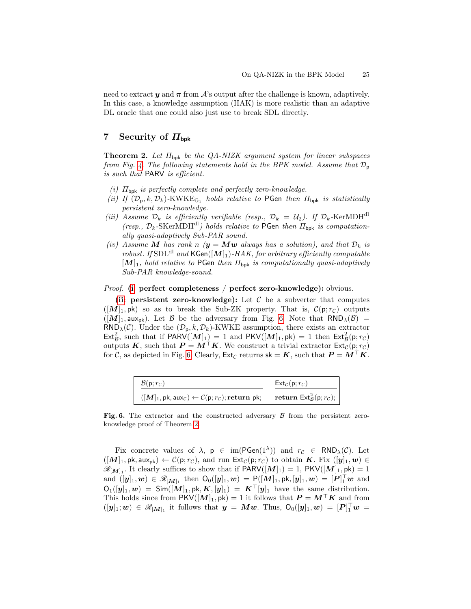need to extract y and  $\pi$  from A's output after the challenge is known, adaptively. In this case, a knowledge assumption (HAK) is more realistic than an adaptive DL oracle that one could also just use to break SDL directly.

## <span id="page-24-1"></span>7 Security of  $\Pi_{\text{bpk}}$

<span id="page-24-2"></span>**Theorem 2.** Let  $\Pi_{\text{bpk}}$  be the QA-NIZK argument system for linear subspaces from Fig. [4.](#page-18-0) The following statements hold in the BPK model. Assume that  $\mathcal{D}_p$ is such that PARV is efficient.

- <span id="page-24-3"></span>(i)  $\Pi_{\text{bpk}}$  is perfectly complete and perfectly zero-knowledge.
- <span id="page-24-4"></span>(ii) If  $(\mathcal{D}_{p}, k, \mathcal{D}_{k})$ -KWKE<sub>G<sub>1</sub></sub> holds relative to PGen then  $\Pi_{\text{bpk}}$  is statistically persistent zero-knowledge.
- <span id="page-24-5"></span>(iii) Assume  $\mathcal{D}_k$  is efficiently verifiable (resp.,  $\mathcal{D}_k = \mathcal{U}_2$ ). If  $\mathcal{D}_k$ -KerMDH<sup>dl</sup> (resp.,  $\mathcal{D}_k$ -SKerMDH<sup>dl</sup>) holds relative to PGen then  $\Pi_{\mathsf{bpk}}$  is computationally quasi-adaptively Sub-PAR sound.
- <span id="page-24-6"></span>(iv) Assume M has rank n  $(y = Mw$  always has a solution), and that  $\mathcal{D}_k$  is robust. If SDL<sup>dl</sup> and KGen( $[M]_1$ )-HAK, for arbitrary efficiently computable  $[M]_1$ , hold relative to PGen then  $\Pi_{\text{bpk}}$  is computationally quasi-adaptively Sub-PAR knowledge-sound.

#### Proof. [\(i:](#page-24-3) perfect completeness / perfect zero-knowledge): obvious.

[\(ii:](#page-24-4) persistent zero-knowledge): Let  $\mathcal C$  be a subverter that computes  $([M]_1, \mathsf{pk})$  so as to break the Sub-ZK property. That is,  $\mathcal{C}(\mathsf{p}; r_{\mathcal{C}})$  outputs  $([M]_1, \text{aux}_{nk})$ . Let B be the adversary from Fig. [6.](#page-24-0) Note that  $RND_{\lambda}(\mathcal{B})$  =  $RND_{\lambda}(\mathcal{C})$ . Under the  $(\mathcal{D}_{p}, k, \mathcal{D}_{k})$ -KWKE assumption, there exists an extractor Ext<sup>2</sup><sub>B</sub>, such that if PARV $([M]_1) = 1$  and PKV $([M]_1, \text{pk}) = 1$  then Ext<sup>2</sup><sub>B</sub> $(\text{p}; r_c)$ outputs K, such that  $P = M^\top K$ . We construct a trivial extractor  $\text{Ext}_{\mathcal{C}}(\mathsf{p}; r_{\mathcal{C}})$ for C, as depicted in Fig. [6.](#page-24-0) Clearly,  $\mathsf{Ext}_{\mathcal{C}}$  returns  $\mathsf{sk} = K$ , such that  $P = M^{\perp}K$ .

| $\mathcal{B}(\mathsf{p};r_{\mathcal{C}})$                                                                                   | $Ext_{\mathcal{C}}(\mathsf{p}; r_{\mathcal{C}})$                   |
|-----------------------------------------------------------------------------------------------------------------------------|--------------------------------------------------------------------|
| $([M]_1, \mathrm{pk}, \mathrm{aux}_{\mathcal{C}}) \leftarrow \mathcal{C}(\mathrm{p}; r_{\mathcal{C}}); \textbf{return pk};$ | return $\mathsf{Ext}^2_{\mathcal{B}}(\mathsf{p};r_{\mathcal{C}});$ |

<span id="page-24-0"></span>Fig. 6. The extractor and the constructed adversary  $\beta$  from the persistent zeroknowledge proof of Theorem [2.](#page-24-2)

Fix concrete values of  $\lambda$ ,  $p \in im(PGen(1^{\lambda}))$  and  $r_{\mathcal{C}} \in RND_{\lambda}(\mathcal{C})$ . Let  $([M]_1, \mathsf{pk}, \mathsf{aux}_{\mathsf{pk}}) \leftarrow \mathcal{C}(\mathsf{p}; r_{\mathcal{C}})$ , and run  $\mathsf{Ext}_{\mathcal{C}}(\mathsf{p}; r_{\mathcal{C}})$  to obtain  $K$ . Fix  $([y]_1, w) \in$  $\mathscr{R}_{[\boldsymbol{M}]_1}$ . It clearly suffices to show that if PARV( $[\boldsymbol{M}]_1$ ) = 1, PKV( $[\boldsymbol{M}]_1$ , pk) = 1 and  $([\boldsymbol{y}]_1, \boldsymbol{w}) \in \mathscr{R}_{[\boldsymbol{M}]_1}$  then  $\mathsf{O}_0([\boldsymbol{y}]_1, \boldsymbol{w}) = \mathsf{P}([\boldsymbol{M}]_1, \mathsf{pk}, [\boldsymbol{y}]_1, \boldsymbol{w}) = [\boldsymbol{P}]_1^\top \boldsymbol{w}$  and  $O_1([y]_1, w) = \text{Sim}([M]_1, \text{pk}, K, [y]_1) = K^{\top}[y]_1$  have the same distribution. This holds since from  $PKV([M]_1, pk) = 1$  it follows that  $P = M<sup>T</sup>K$  and from  $([y]_1; w) \in \mathscr{R}_{[M]_1}$  it follows that  $y = Mw$ . Thus,  $O_0([y]_1, w) = [P]_1^{\top}w =$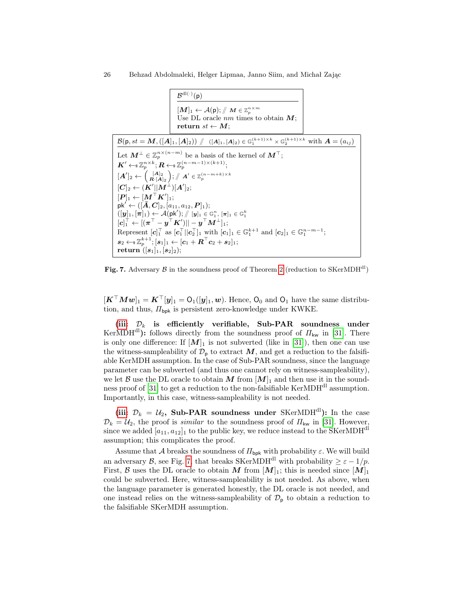$\mathcal{B}^{\mathrm{dl}(\cdot)}(\mathsf{p})$  $[\boldsymbol{M}]_1 \leftarrow \mathcal{A}(\mathsf{p}); \mathbin{\mathbb{/\!\!/}}\, \boldsymbol{M} \in \mathbb{Z}_p^{n \times m}$ Use DL oracle  $nm$  times to obtain  $M$ ; return  $st \leftarrow M$ ;  $\mathcal{B}(\mathsf{p},st=\boldsymbol{M}, ([\boldsymbol{A}]_1,[\boldsymbol{A}]_2))\not\parallel\ ([\boldsymbol{A}]_1,[\boldsymbol{A}]_2)\in \mathbb{G}_1^{(k+1)\times k}\times \mathbb{G}_2^{(k+1)\times k} \text{ with } \boldsymbol{A}=(a_{ij})$ Let  $M^{\perp} \in \mathbb{Z}_p^{n \times (n-m)}$  be a basis of the kernel of  $M^{\top}$ ;  $\boldsymbol{K}^{\prime} \leftarrow$ s $\mathbb{Z}_{p}^{n\times k}; \boldsymbol{R} \leftarrow$ s $\mathbb{Z}_{p}^{(n-m-1)\times (k+1)};$  $\begin{split} [\bm{A}']_2 \leftarrow \Big(\begin{smallmatrix} [A]_2 \ \bm{R}^\cdot[A]_2 \end{smallmatrix}\Big) ; \#\ \bm{A}' \in \mathbb{Z}_p^{(n-m+k)\times k} \ [\bm{C}]_2 \leftarrow (\bm{K}' || \bm{M}^\perp)[\bm{A}']_2 ; \end{split}$  $[\bm{P}]_1 \leftarrow [\bm{M}^\top \bm{K}']_1;$  $\mathsf{pk}' \gets ([\bar{\bm{A}}, \bm{C}]_2, [a_{11}, a_{12}, \bm{P}]_1);$  $\begin{split} &\left([{\boldsymbol{y}}]_1,[\boldsymbol{\pi}]_1\right) \leftarrow \mathcal{A}(\mathsf{p}\mathsf{k}'); \mathbin{\#} [y]_1\in\mathbb{G}_1^n, \, [\boldsymbol{\pi}]_1\in\mathbb{G}_1^k\ & [\boldsymbol{c}]_1^\top \leftarrow [ (\boldsymbol{\pi}^\top-{\boldsymbol{y}}^\top\boldsymbol{K}')||-\boldsymbol{y}^\top\boldsymbol{M}^\perp]_1; \end{split}$ Represent  $[\mathbf{c}]_1^\top$  as  $[\mathbf{c}_1^\top || \mathbf{c}_2^\top]_1$  with  $[\mathbf{c}_1]_1 \in \mathbb{G}_1^{k+1}$  and  $[\mathbf{c}_2]_1 \in \mathbb{G}_1^{n-m-1}$ ;  $\boldsymbol{s}_2 \leftarrow$ s $\mathbb{Z}_p^{k+1}; [\boldsymbol{s}_1]_1 \leftarrow [\boldsymbol{c}_1 + \boldsymbol{R}^\top \boldsymbol{c}_2 + \boldsymbol{s}_2]_1;$  $return ([s_1]_1, [s_2]_2);$ 

<span id="page-25-0"></span>Fig. 7. Adversary  $\beta$  in the soundness proof of Theorem [2](#page-24-2) (reduction to SKerMDH<sup>dl</sup>)

 $[\mathbf{K}^\top \mathbf{M} \mathbf{w}]_1 = \mathbf{K}^\top [\mathbf{y}]_1 = \mathsf{O}_1([\mathbf{y}]_1, \mathbf{w})$ . Hence,  $\mathsf{O}_0$  and  $\mathsf{O}_1$  have the same distribution, and thus,  $\Pi_{\text{bpk}}$  is persistent zero-knowledge under KWKE.

[\(iii:](#page-24-5)  $\mathcal{D}_k$  is efficiently verifiable, Sub-PAR soundness under KerMDH<sup>dl</sup>): follows directly from the soundness proof of  $\Pi_{kw}$  in [\[31\]](#page-29-17). There is only one difference: If  $[M]_1$  is not subverted (like in [\[31\]](#page-29-17)), then one can use the witness-sampleability of  $\mathcal{D}_{\mathsf{p}}$  to extract M, and get a reduction to the falsifiable KerMDH assumption. In the case of Sub-PAR soundness, since the language parameter can be subverted (and thus one cannot rely on witness-sampleability), we let B use the DL oracle to obtain M from  $[M]_1$  and then use it in the soundness proof of  $[31]$  to get a reduction to the non-falsifiable KerMDH<sup>dl</sup> assumption. Importantly, in this case, witness-sampleability is not needed.

[\(iii:](#page-24-5)  $\mathcal{D}_k = \mathcal{U}_2$ , Sub-PAR soundness under SKerMDH<sup>dl</sup>): In the case  $\mathcal{D}_k = \mathcal{U}_2$ , the proof is *similar* to the soundness proof of  $\Pi_{\mathsf{kw}}$  in [\[31\]](#page-29-17). However, since we added  $[a_{11}, a_{12}]_1$  to the public key, we reduce instead to the SKerMDH<sup>dl</sup> assumption; this complicates the proof.

Assume that A breaks the soundness of  $\Pi_{\text{bpk}}$  with probability  $\varepsilon$ . We will build an adversary B, see Fig. [7,](#page-25-0) that breaks SKerMDH<sup>dl</sup> with probability  $\geq \varepsilon - 1/p$ . First, B uses the DL oracle to obtain M from  $[M]_1$ ; this is needed since  $[M]_1$ could be subverted. Here, witness-sampleability is not needed. As above, when the language parameter is generated honestly, the DL oracle is not needed, and one instead relies on the witness-sampleability of  $\mathcal{D}_{p}$  to obtain a reduction to the falsifiable SKerMDH assumption.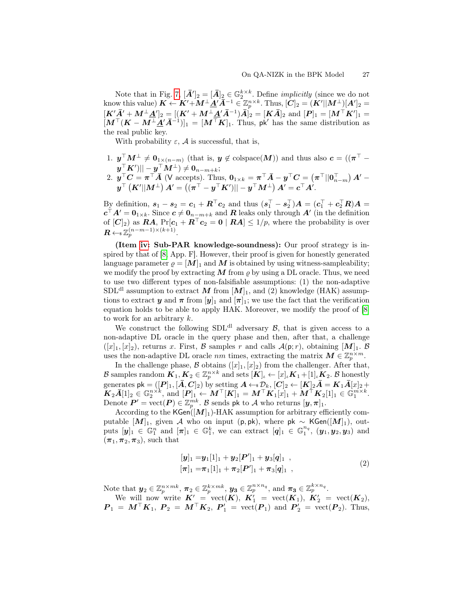Note that in Fig. [7,](#page-25-0)  $[\bar{A}']_2 = [\bar{A}]_2 \in \mathbb{G}_2^{k \times k}$ . Define *implicitly* (since we do not know this value)  $\mathcal{K} \leftarrow \mathcal{K}' + \mathcal{M}^\perp \mathcal{\underline{A}}' \mathcal{\bar{A}}^{-1} \in \mathbb{Z}_p^{n \times k}$ . Thus,  $[\mathcal{C}]_2 = (\mathcal{K}' || \mathcal{M}^\perp) [\mathcal{A}']_2 =$  $[\mathbf{K}'\bar{A}' + \mathbf{M}^{\perp}\underline{A}']_2 = [(\mathbf{K}' + \mathbf{M}^{\perp}\underline{A}'\bar{A}^{-1})\bar{A}]_2 = [\mathbf{K}\bar{A}]_2 \text{ and } [\mathbf{P}]_1 = [\mathbf{M}^{\top}\mathbf{K}']_1 =$  $[M^{\top}(K-M^{\perp}\underline{A'}\bar{A}^{-1})]_1 = [M^{\top}K]_1$ . Thus, pk' has the same distribution as the real public key.

With probability  $\varepsilon$ ,  $\mathcal A$  is successful, that is,

- 1.  $y^\top M^\perp \neq 0_{1 \times (n-m)}$  (that is,  $y \notin \text{colspace}(M))$  and thus also  $c = ((\pi^\top \bm{y}^\top \bm{K}^\prime) \vert\vert - \bm{y}^\top \bm{M}^\perp) \neq \bm{0}_{n-m+k};$
- 2.  $\bm{y}^\top \bm{C} = \bm{\pi}^\top \bar{\bm{A}}$  (V accepts). Thus,  $\bm{0}_{1 \times k} = \bm{\pi}^\top \bar{\bm{A}} \bm{y}^\top \bm{C} = \left(\bm{\pi}^\top || \bm{0}_{n-m}^\top \right) \bm{A}'$  $\boldsymbol{y}^{\top}\left(\boldsymbol{K}'||\boldsymbol{M}^{\perp}\right)\boldsymbol{A}'=\left((\boldsymbol{\pi}^{\top}-\boldsymbol{y}^{\top}\boldsymbol{K}')||-\boldsymbol{y}^{\top}\boldsymbol{M}^{\perp}\right)\boldsymbol{A}'=\boldsymbol{c}^{\top}\boldsymbol{A}'.$

By definition,  $s_1 - s_2 = c_1 + \mathbf{R}^\top c_2$  and thus  $(s_1^\top - s_2^\top) \mathbf{A} = (c_1^\top + c_2^\top \mathbf{R}) \mathbf{A} =$  $c^{\top}A' = 0_{1 \times k}$ . Since  $c \neq 0_{n-m+k}$  and  $R$  leaks only through  $A'$  (in the definition of  $[C]_2$ ) as  $\boldsymbol{RA}$ ,  $Pr[c_1 + \boldsymbol{R}^\top \boldsymbol{c}_2 = \boldsymbol{0} \mid \boldsymbol{RA}] \leq 1/p$ , where the probability is over  $\boldsymbol{R} \leftarrow_{\$} \mathbb{Z}_p^{(n-m-1)\times (k+1)}.$ 

(Item [iv:](#page-24-6) Sub-PAR knowledge-soundness): Our proof strategy is inspired by that of [\[8,](#page-28-15) App. F]. However, their proof is given for honestly generated language parameter  $\rho = [M]_1$  and M is obtained by using witness-sampleability; we modify the proof by extracting  $M$  from  $\varrho$  by using a DL oracle. Thus, we need to use two different types of non-falsifiable assumptions: (1) the non-adaptive  $SDL<sup>dl</sup>$  assumption to extract M from  $[M]_1$ , and (2) knowledge (HAK) assumptions to extract y and  $\pi$  from  $[y]_1$  and  $[\pi]_1$ ; we use the fact that the verification equation holds to be able to apply HAK. Moreover, we modify the proof of [\[8\]](#page-28-15) to work for an arbitrary k.

We construct the following SDL<sup>dl</sup> adversary  $\mathcal{B}$ , that is given access to a non-adaptive DL oracle in the query phase and then, after that, a challenge  $([x]_1, [x]_2)$ , returns x. First, B samples r and calls  $\mathcal{A}(\mathsf{p}; r)$ , obtaining  $[M]_1$ . B uses the non-adaptive DL oracle nm times, extracting the matrix  $M \in \mathbb{Z}_p^{n \times m}$ .

In the challenge phase,  $\mathcal B$  obtains  $([x]_1, [x]_2)$  from the challenger. After that, B samples random  $\bm{K}_1, \bm{K}_2 \in \mathbb{Z}_p^{n \times k}$  and sets  $[\bm{K}]_\iota \leftarrow [x]_\iota \bm{K}_1 + [1]_\iota \bm{K}_2$ . B honestly  $\text{generates } \mathsf{pk} = ([\bm{P}]_1, [\bar{\bm{A}}, \bm{C}]_2) \text{ by setting } \bm{A} \leftarrow_{\text{s}} \mathcal{D}_k, [\bm{C}]_2 \leftarrow [\bm{K}]_2 \bar{\bm{A}} = \bm{K}_1 \bar{\bm{A}} [x]_2 + \bm{K}_2 \bar{\bm{A}} [x]_2$  $\boldsymbol{K}_2\bar{\boldsymbol{A}}[1]_2\in\mathbb{G}_2^{n\times k}, \text{ and } [\boldsymbol{P}]_1\leftarrow \boldsymbol{M}^{\top}[\boldsymbol{K}]_1 = \boldsymbol{M}^{\top}\boldsymbol{K}_1[x]_1 + \boldsymbol{M}^{\top}\boldsymbol{K}_2[1]_1\in\mathbb{G}_1^{m\times k}.$ Denote  $P' = \text{vect}(P) \in \mathbb{Z}_p^{mk}$ . B sends pk to A who returns  $[y, \pi]_1$ .

According to the  $\mathsf{KGen}([M]_1)$ -HAK assumption for arbitrary efficiently computable  $[M]_1$ , given A who on input (p, pk), where pk ~ KGen( $[M]_1$ ), outputs  $[\mathbf{y}]_1 \in \mathbb{G}_1^n$  and  $[\pi]_1 \in \mathbb{G}_1^k$ , we can extract  $[\mathbf{q}]_1 \in \mathbb{G}_1^{n_q}$ ,  $(\mathbf{y}_1, \mathbf{y}_2, \mathbf{y}_3)$  and  $(\pi_1,\pi_2,\pi_3)$ , such that

<span id="page-26-0"></span>
$$
[\mathbf{y}]_1 = \mathbf{y}_1[1]_1 + \mathbf{y}_2[\mathbf{P}']_1 + \mathbf{y}_3[q]_1 ,[\pi]_1 = \pi_1[1]_1 + \pi_2[\mathbf{P}']_1 + \pi_3[q]_1 ,
$$
 (2)

Note that  $y_2 \in \mathbb{Z}_p^{n \times mk}$ ,  $\pi_2 \in \mathbb{Z}_p^{k \times mk}$ ,  $y_3 \in \mathbb{Z}_p^{n \times n_q}$ , and  $\pi_3 \in \mathbb{Z}_p^{k \times n_q}$ .

We will now write  $K' = \text{vect}(K)$ ,  $K_1' = \text{vect}(K_1)$ ,  $K_2' = \text{vect}(K_2)$ ,  $P_1 = M^{\top} K_1, P_2 = M^{\top} K_2, P'_1 = \text{vect}(P_1) \text{ and } P'_2 = \text{vect}(P_2)$ . Thus,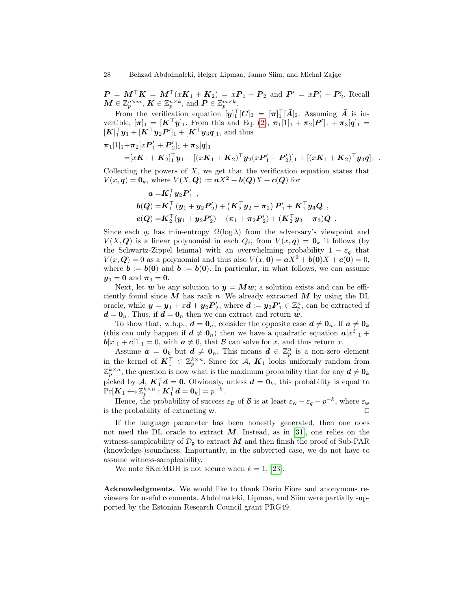$P = M^{\top}K = M^{\top}(xK_1 + K_2) = xP_1 + P_2$  and  $P' = xP'_1 + P'_2$ . Recall  $\boldsymbol{M} \in \mathbb{Z}_p^{n \times m}, \, \boldsymbol{K} \in \mathbb{Z}_p^{n \times k}, \, \text{and } \boldsymbol{P} \in \mathbb{Z}_p^{m \times k}.$ 

From the verification equation  $[y]_1^\top [C]_2 = [\pi]_1^\top [\bar{A}]_2$ . Assuming  $\bar{A}$  is invertible,  $[\pi]_1 = [\mathbf{K}^\top \mathbf{y}]_1$ . From this and Eq. [\(2\)](#page-26-0),  $\pi_1[1]_1 + \pi_2[\mathbf{P}']_1 + \pi_3[q]_1 =$  $[\boldsymbol{K}]_1^\top \boldsymbol{y}_1 + [\boldsymbol{K}^\top \boldsymbol{y}_2 \boldsymbol{P}']_1 + [\boldsymbol{K}^\top \boldsymbol{y}_3 \boldsymbol{q}]_1$ , and thus

$$
\pi_1[1]_1 + \pi_2[xP'_1 + P'_2]_1 + \pi_3[q]_1
$$
  
=  $[xK_1 + K_2]_1^T y_1 + [(xK_1 + K_2)^T y_2(xP'_1 + P'_2)]_1 + [(xK_1 + K_2)^T y_3q]_1$ .

Collecting the powers of  $X$ , we get that the verification equation states that  $V(x, q) = \mathbf{0}_k$ , where  $V(X, Q) := aX^2 + b(Q)X + c(Q)$  for

$$
\begin{aligned} a=& K_1^\top y_2 P_1' \enspace, \\ b(Q)=& K_1^\top \left(y_1+y_2 P_2'\right)+\left(K_2^\top y_2-\pi_2\right) P_1'+K_1^\top y_3 Q \enspace, \\ c(Q)=& K_2^\top (y_1+y_2 P_2')-\left(\pi_1+\pi_2 P_2'\right)+\left(K_2^\top y_3-\pi_3\right) Q \enspace. \end{aligned}
$$

Since each  $q_i$  has min-entropy  $\Omega(\log \lambda)$  from the adversary's viewpoint and  $V(X, Q)$  is a linear polynomial in each  $Q_i$ , from  $V(x, q) = \mathbf{0}_k$  it follows (by the Schwartz-Zippel lemma) with an overwhelming probability  $1 - \varepsilon_q$  that  $V(x, Q) = 0$  as a polynomial and thus also  $V(x, 0) = aX^2 + b(0)X + c(0) = 0$ , where  $\mathbf{b} := \mathbf{b}(0)$  and  $\mathbf{b} := \mathbf{b}(0)$ . In particular, in what follows, we can assume  $y_3 = 0$  and  $\pi_3 = 0$ .

Next, let w be any solution to  $y = Mw$ ; a solution exists and can be efficiently found since  $M$  has rank n. We already extracted  $M$  by using the DL oracle, while  $y = y_1 + xd + y_2P'_2$ , where  $d := y_2P'_1 \in \mathbb{Z}_p^n$ , can be extracted if  $d = 0_n$ . Thus, if  $d = 0_n$  then we can extract and return w.

To show that, w.h.p.,  $d = 0_n$ , consider the opposite case  $d \neq 0_n$ . If  $a \neq 0_k$ (this can only happen if  $\mathbf{d} \neq \mathbf{0}_n$ ) then we have a quadratic equation  $\mathbf{a}[x^2]_1 +$  $\mathbf{b}[x]_1 + \mathbf{c}[1]_1 = 0$ , with  $\mathbf{a} \neq 0$ , that  $\mathcal{B}$  can solve for x, and thus return x.

Assume  $a = 0_k$  but  $d \neq 0_n$ . This means  $d \in \mathbb{Z}_p^n$  is a non-zero element in the kernel of  $K_1^{\top} \in \mathbb{Z}_p^{k \times n}$ . Since for  $\mathcal{A}, K_1$  looks uniformly random from  $\mathbb{Z}_p^{k \times n}$ , the question is now what is the maximum probability that for any  $\mathbf{d} \neq \mathbf{0}_k$ picked by  $A, K_1^{\top}d = 0$ . Obviously, unless  $d = 0_k$ , this probability is equal to  $\Pr[\boldsymbol{K}_1 \leftarrow_{\$} \mathbb{Z}_p^{k\times n}:\boldsymbol{K}_1^\top \boldsymbol{d} = \boldsymbol{0}_k] = p^{-k}.$ 

Hence, the probability of success  $\varepsilon_B$  of B is at least  $\varepsilon_w - \varepsilon_q - p^{-k}$ , where  $\varepsilon_w$ is the probability of extracting  ${\sf w}.$   $\hfill \Box$ 

If the language parameter has been honestly generated, then one does not need the DL oracle to extract  $M$ . Instead, as in [\[31\]](#page-29-17), one relies on the witness-sampleability of  $\mathcal{D}_{p}$  to extract M and then finish the proof of Sub-PAR (knowledge-)soundness. Importantly, in the subverted case, we do not have to assume witness-sampleability.

We note SKerMDH is not secure when  $k = 1$ , [\[23\]](#page-29-10).

Acknowledgments. We would like to thank Dario Fiore and anonymous reviewers for useful comments. Abdolmaleki, Lipmaa, and Siim were partially supported by the Estonian Research Council grant PRG49.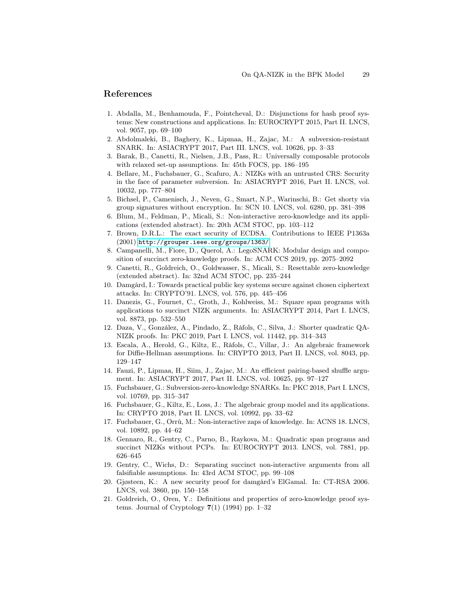## References

- <span id="page-28-11"></span>1. Abdalla, M., Benhamouda, F., Pointcheval, D.: Disjunctions for hash proof systems: New constructions and applications. In: EUROCRYPT 2015, Part II. LNCS, vol. 9057, pp. 69–100
- <span id="page-28-6"></span>2. Abdolmaleki, B., Baghery, K., Lipmaa, H., Zajac, M.: A subversion-resistant SNARK. In: ASIACRYPT 2017, Part III. LNCS, vol. 10626, pp. 3–33
- <span id="page-28-2"></span>3. Barak, B., Canetti, R., Nielsen, J.B., Pass, R.: Universally composable protocols with relaxed set-up assumptions. In: 45th FOCS, pp. 186–195
- <span id="page-28-8"></span>4. Bellare, M., Fuchsbauer, G., Scafuro, A.: NIZKs with an untrusted CRS: Security in the face of parameter subversion. In: ASIACRYPT 2016, Part II. LNCS, vol. 10032, pp. 777–804
- <span id="page-28-16"></span>5. Bichsel, P., Camenisch, J., Neven, G., Smart, N.P., Warinschi, B.: Get shorty via group signatures without encryption. In: SCN 10. LNCS, vol. 6280, pp. 381–398
- <span id="page-28-0"></span>6. Blum, M., Feldman, P., Micali, S.: Non-interactive zero-knowledge and its applications (extended abstract). In: 20th ACM STOC, pp. 103–112
- <span id="page-28-18"></span>7. Brown, D.R.L.: The exact security of ECDSA. Contributions to IEEE P1363a (2001) <http://grouper.ieee.org/groups/1363/>.
- <span id="page-28-15"></span>8. Campanelli, M., Fiore, D., Querol, A.: LegoSNARK: Modular design and composition of succinct zero-knowledge proofs. In: ACM CCS 2019, pp. 2075–2092
- <span id="page-28-3"></span>9. Canetti, R., Goldreich, O., Goldwasser, S., Micali, S.: Resettable zero-knowledge (extended abstract). In: 32nd ACM STOC, pp. 235–244
- <span id="page-28-9"></span>10. Damgård, I.: Towards practical public key systems secure against chosen ciphertext attacks. In: CRYPTO'91. LNCS, vol. 576, pp. 445–456
- <span id="page-28-4"></span>11. Danezis, G., Fournet, C., Groth, J., Kohlweiss, M.: Square span programs with applications to succinct NIZK arguments. In: ASIACRYPT 2014, Part I. LNCS, vol. 8873, pp. 532–550
- <span id="page-28-12"></span>12. Daza, V., González, A., Pindado, Z., Ràfols, C., Silva, J.: Shorter quadratic QA-NIZK proofs. In: PKC 2019, Part I. LNCS, vol. 11442, pp. 314–343
- <span id="page-28-14"></span>13. Escala, A., Herold, G., Kiltz, E., Ràfols, C., Villar, J.: An algebraic framework for Diffie-Hellman assumptions. In: CRYPTO 2013, Part II. LNCS, vol. 8043, pp. 129–147
- <span id="page-28-13"></span>14. Fauzi, P., Lipmaa, H., Siim, J., Zajac, M.: An efficient pairing-based shuffle argument. In: ASIACRYPT 2017, Part II. LNCS, vol. 10625, pp. 97–127
- <span id="page-28-7"></span>15. Fuchsbauer, G.: Subversion-zero-knowledge SNARKs. In: PKC 2018, Part I. LNCS, vol. 10769, pp. 315–347
- <span id="page-28-17"></span>16. Fuchsbauer, G., Kiltz, E., Loss, J.: The algebraic group model and its applications. In: CRYPTO 2018, Part II. LNCS, vol. 10992, pp. 33–62
- <span id="page-28-19"></span>17. Fuchsbauer, G., Orrù, M.: Non-interactive zaps of knowledge. In: ACNS 18. LNCS, vol. 10892, pp. 44–62
- <span id="page-28-5"></span>18. Gennaro, R., Gentry, C., Parno, B., Raykova, M.: Quadratic span programs and succinct NIZKs without PCPs. In: EUROCRYPT 2013. LNCS, vol. 7881, pp. 626–645
- <span id="page-28-10"></span>19. Gentry, C., Wichs, D.: Separating succinct non-interactive arguments from all falsifiable assumptions. In: 43rd ACM STOC, pp. 99–108
- <span id="page-28-20"></span>20. Gjøsteen, K.: A new security proof for damgård's ElGamal. In: CT-RSA 2006. LNCS, vol. 3860, pp. 150–158
- <span id="page-28-1"></span>21. Goldreich, O., Oren, Y.: Definitions and properties of zero-knowledge proof systems. Journal of Cryptology  $7(1)$  (1994) pp. 1–32